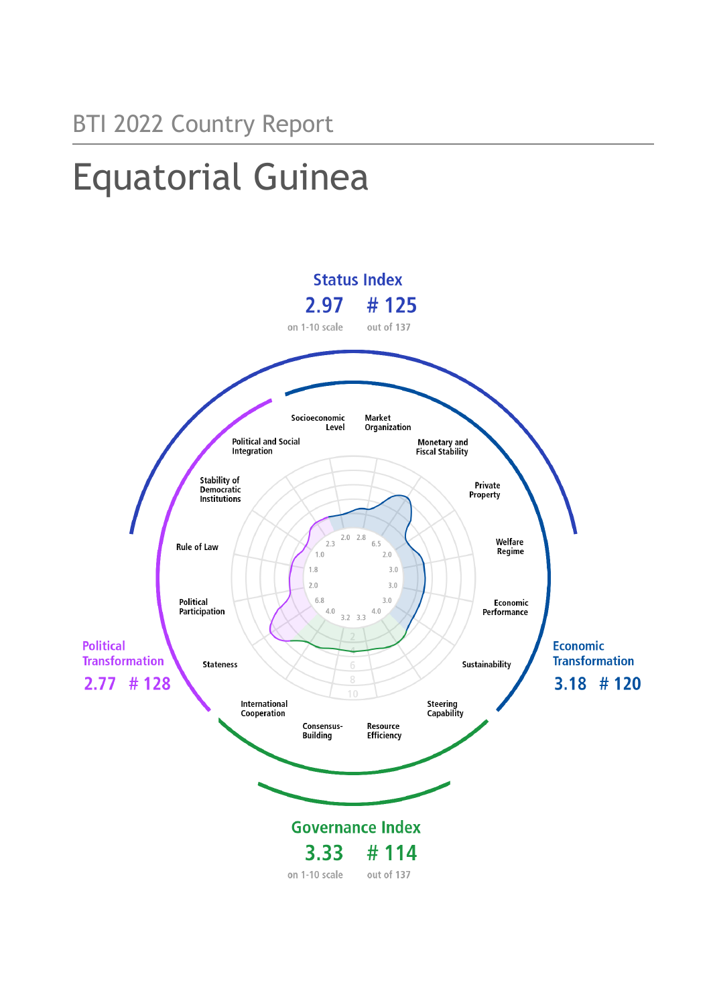# Equatorial Guinea

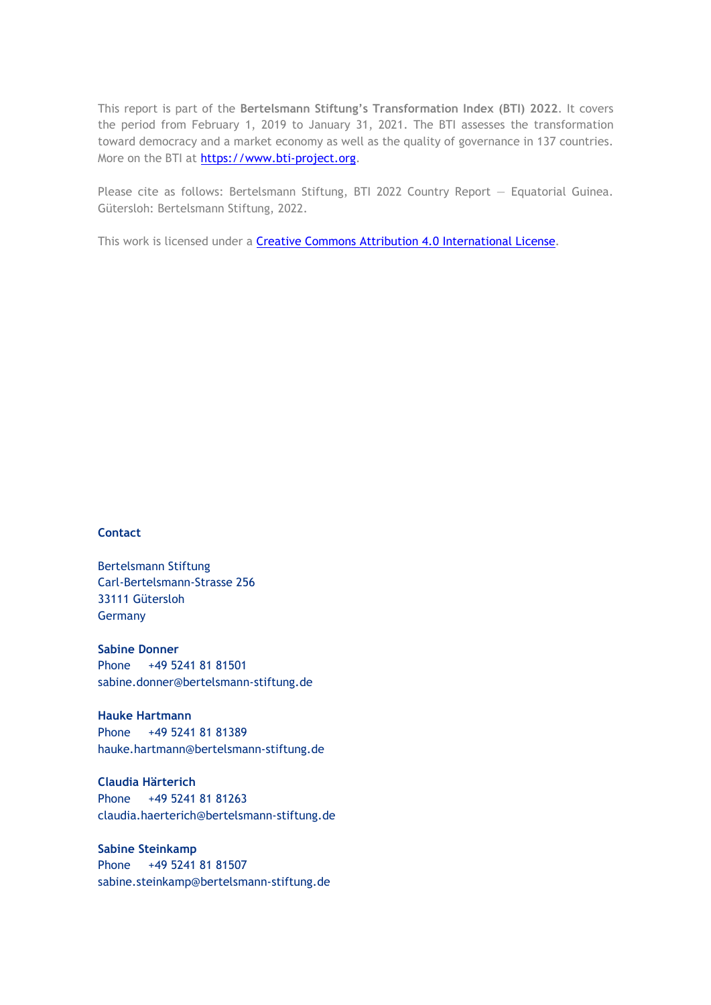This report is part of the **Bertelsmann Stiftung's Transformation Index (BTI) 2022**. It covers the period from February 1, 2019 to January 31, 2021. The BTI assesses the transformation toward democracy and a market economy as well as the quality of governance in 137 countries. More on the BTI at [https://www.bti-project.org.](https://www.bti-project.org/)

Please cite as follows: Bertelsmann Stiftung, BTI 2022 Country Report — Equatorial Guinea. Gütersloh: Bertelsmann Stiftung, 2022.

This work is licensed under a **Creative Commons Attribution 4.0 International License**.

#### **Contact**

Bertelsmann Stiftung Carl-Bertelsmann-Strasse 256 33111 Gütersloh Germany

**Sabine Donner** Phone +49 5241 81 81501 sabine.donner@bertelsmann-stiftung.de

**Hauke Hartmann** Phone +49 5241 81 81389 hauke.hartmann@bertelsmann-stiftung.de

**Claudia Härterich** Phone +49 5241 81 81263 claudia.haerterich@bertelsmann-stiftung.de

#### **Sabine Steinkamp** Phone +49 5241 81 81507 sabine.steinkamp@bertelsmann-stiftung.de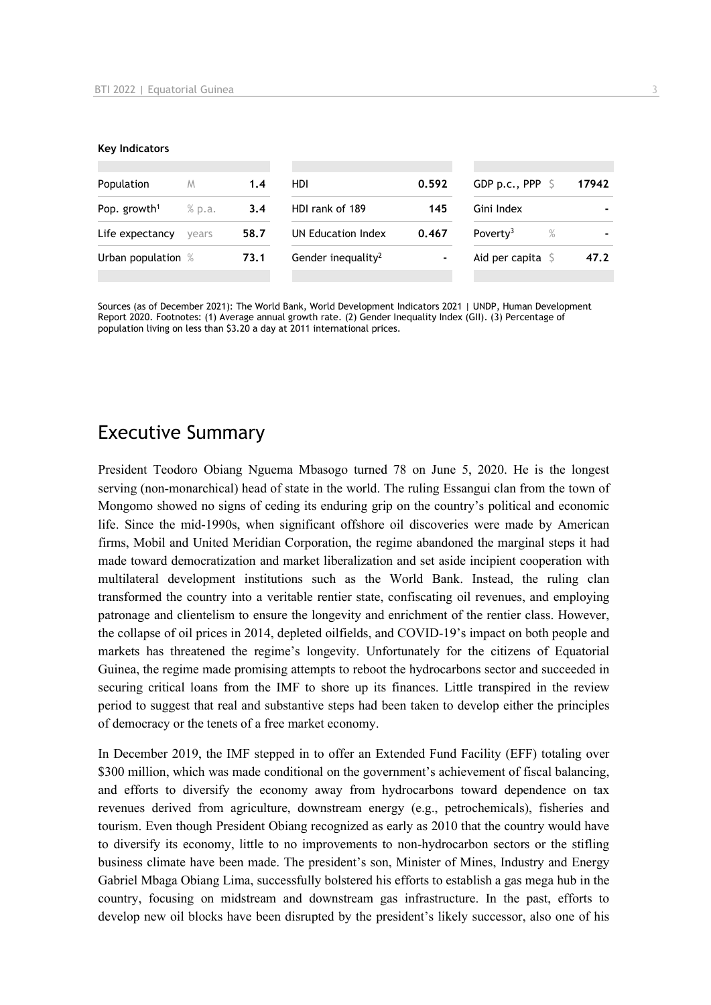#### **Key Indicators**

| Population               | M      | 1.4  | HDI.                           | 0.592 | GDP p.c., PPP $\sim$         | 17942 |
|--------------------------|--------|------|--------------------------------|-------|------------------------------|-------|
| Pop. growth <sup>1</sup> | % p.a. | 3.4  | HDI rank of 189                | 145   | Gini Index                   |       |
| Life expectancy          | vears  | 58.7 | UN Education Index             | 0.467 | Poverty <sup>3</sup><br>$\%$ |       |
| Urban population %       |        | 73.1 | Gender inequality <sup>2</sup> | ٠     | Aid per capita $\sqrt{5}$    | 47.2  |
|                          |        |      |                                |       |                              |       |

Sources (as of December 2021): The World Bank, World Development Indicators 2021 | UNDP, Human Development Report 2020. Footnotes: (1) Average annual growth rate. (2) Gender Inequality Index (GII). (3) Percentage of population living on less than \$3.20 a day at 2011 international prices.

# Executive Summary

President Teodoro Obiang Nguema Mbasogo turned 78 on June 5, 2020. He is the longest serving (non-monarchical) head of state in the world. The ruling Essangui clan from the town of Mongomo showed no signs of ceding its enduring grip on the country's political and economic life. Since the mid-1990s, when significant offshore oil discoveries were made by American firms, Mobil and United Meridian Corporation, the regime abandoned the marginal steps it had made toward democratization and market liberalization and set aside incipient cooperation with multilateral development institutions such as the World Bank. Instead, the ruling clan transformed the country into a veritable rentier state, confiscating oil revenues, and employing patronage and clientelism to ensure the longevity and enrichment of the rentier class. However, the collapse of oil prices in 2014, depleted oilfields, and COVID-19's impact on both people and markets has threatened the regime's longevity. Unfortunately for the citizens of Equatorial Guinea, the regime made promising attempts to reboot the hydrocarbons sector and succeeded in securing critical loans from the IMF to shore up its finances. Little transpired in the review period to suggest that real and substantive steps had been taken to develop either the principles of democracy or the tenets of a free market economy.

In December 2019, the IMF stepped in to offer an Extended Fund Facility (EFF) totaling over \$300 million, which was made conditional on the government's achievement of fiscal balancing, and efforts to diversify the economy away from hydrocarbons toward dependence on tax revenues derived from agriculture, downstream energy (e.g., petrochemicals), fisheries and tourism. Even though President Obiang recognized as early as 2010 that the country would have to diversify its economy, little to no improvements to non-hydrocarbon sectors or the stifling business climate have been made. The president's son, Minister of Mines, Industry and Energy Gabriel Mbaga Obiang Lima, successfully bolstered his efforts to establish a gas mega hub in the country, focusing on midstream and downstream gas infrastructure. In the past, efforts to develop new oil blocks have been disrupted by the president's likely successor, also one of his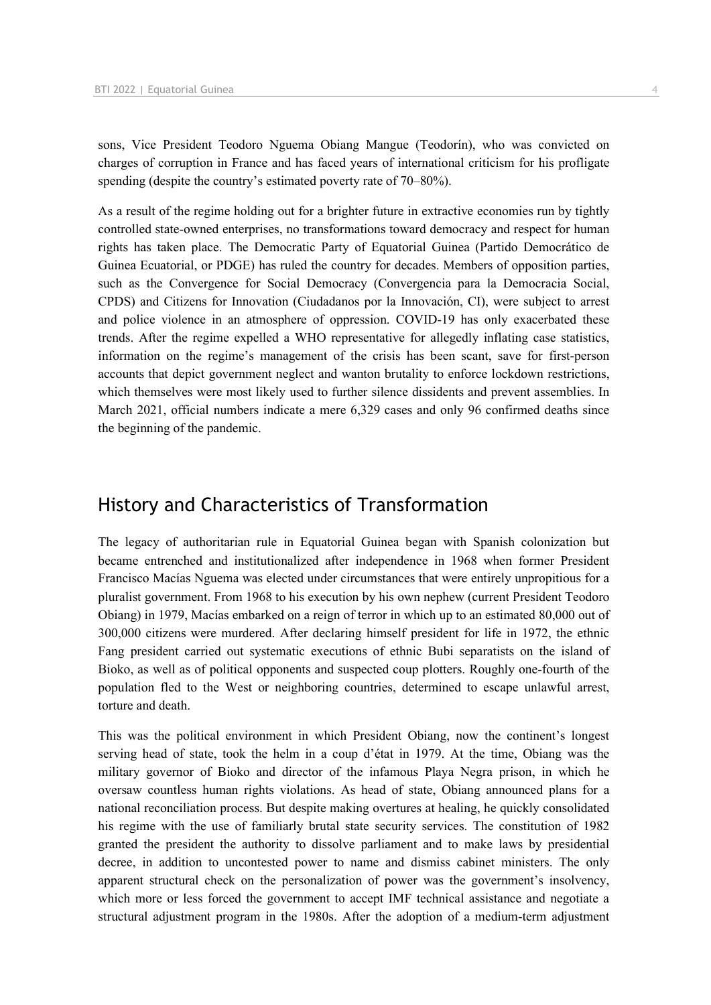sons, Vice President Teodoro Nguema Obiang Mangue (Teodorín), who was convicted on charges of corruption in France and has faced years of international criticism for his profligate spending (despite the country's estimated poverty rate of 70–80%).

As a result of the regime holding out for a brighter future in extractive economies run by tightly controlled state-owned enterprises, no transformations toward democracy and respect for human rights has taken place. The Democratic Party of Equatorial Guinea (Partido Democrático de Guinea Ecuatorial, or PDGE) has ruled the country for decades. Members of opposition parties, such as the Convergence for Social Democracy (Convergencia para la Democracia Social, CPDS) and Citizens for Innovation (Ciudadanos por la Innovación, CI), were subject to arrest and police violence in an atmosphere of oppression. COVID-19 has only exacerbated these trends. After the regime expelled a WHO representative for allegedly inflating case statistics, information on the regime's management of the crisis has been scant, save for first-person accounts that depict government neglect and wanton brutality to enforce lockdown restrictions, which themselves were most likely used to further silence dissidents and prevent assemblies. In March 2021, official numbers indicate a mere 6,329 cases and only 96 confirmed deaths since the beginning of the pandemic.

# History and Characteristics of Transformation

The legacy of authoritarian rule in Equatorial Guinea began with Spanish colonization but became entrenched and institutionalized after independence in 1968 when former President Francisco Macías Nguema was elected under circumstances that were entirely unpropitious for a pluralist government. From 1968 to his execution by his own nephew (current President Teodoro Obiang) in 1979, Macías embarked on a reign of terror in which up to an estimated 80,000 out of 300,000 citizens were murdered. After declaring himself president for life in 1972, the ethnic Fang president carried out systematic executions of ethnic Bubi separatists on the island of Bioko, as well as of political opponents and suspected coup plotters. Roughly one-fourth of the population fled to the West or neighboring countries, determined to escape unlawful arrest, torture and death.

This was the political environment in which President Obiang, now the continent's longest serving head of state, took the helm in a coup d'état in 1979. At the time, Obiang was the military governor of Bioko and director of the infamous Playa Negra prison, in which he oversaw countless human rights violations. As head of state, Obiang announced plans for a national reconciliation process. But despite making overtures at healing, he quickly consolidated his regime with the use of familiarly brutal state security services. The constitution of 1982 granted the president the authority to dissolve parliament and to make laws by presidential decree, in addition to uncontested power to name and dismiss cabinet ministers. The only apparent structural check on the personalization of power was the government's insolvency, which more or less forced the government to accept IMF technical assistance and negotiate a structural adjustment program in the 1980s. After the adoption of a medium-term adjustment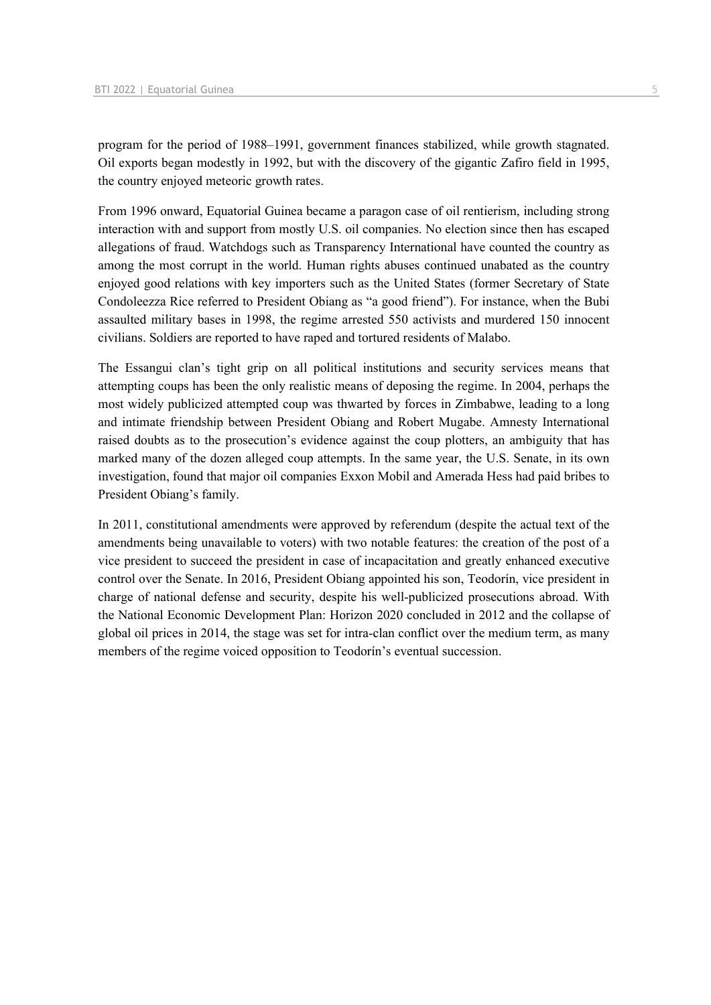program for the period of 1988–1991, government finances stabilized, while growth stagnated. Oil exports began modestly in 1992, but with the discovery of the gigantic Zafiro field in 1995, the country enjoyed meteoric growth rates.

From 1996 onward, Equatorial Guinea became a paragon case of oil rentierism, including strong interaction with and support from mostly U.S. oil companies. No election since then has escaped allegations of fraud. Watchdogs such as Transparency International have counted the country as among the most corrupt in the world. Human rights abuses continued unabated as the country enjoyed good relations with key importers such as the United States (former Secretary of State Condoleezza Rice referred to President Obiang as "a good friend"). For instance, when the Bubi assaulted military bases in 1998, the regime arrested 550 activists and murdered 150 innocent civilians. Soldiers are reported to have raped and tortured residents of Malabo.

The Essangui clan's tight grip on all political institutions and security services means that attempting coups has been the only realistic means of deposing the regime. In 2004, perhaps the most widely publicized attempted coup was thwarted by forces in Zimbabwe, leading to a long and intimate friendship between President Obiang and Robert Mugabe. Amnesty International raised doubts as to the prosecution's evidence against the coup plotters, an ambiguity that has marked many of the dozen alleged coup attempts. In the same year, the U.S. Senate, in its own investigation, found that major oil companies Exxon Mobil and Amerada Hess had paid bribes to President Obiang's family.

In 2011, constitutional amendments were approved by referendum (despite the actual text of the amendments being unavailable to voters) with two notable features: the creation of the post of a vice president to succeed the president in case of incapacitation and greatly enhanced executive control over the Senate. In 2016, President Obiang appointed his son, Teodorín, vice president in charge of national defense and security, despite his well-publicized prosecutions abroad. With the National Economic Development Plan: Horizon 2020 concluded in 2012 and the collapse of global oil prices in 2014, the stage was set for intra-clan conflict over the medium term, as many members of the regime voiced opposition to Teodorín's eventual succession.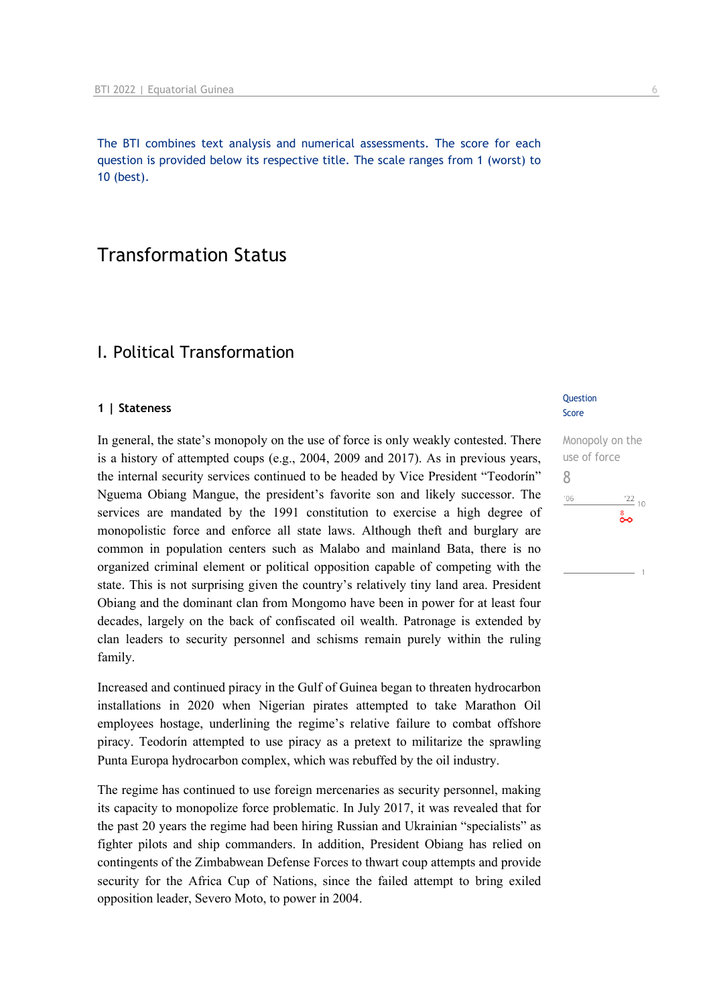The BTI combines text analysis and numerical assessments. The score for each question is provided below its respective title. The scale ranges from 1 (worst) to 10 (best).

# Transformation Status

# I. Political Transformation

#### **1 | Stateness**

In general, the state's monopoly on the use of force is only weakly contested. There is a history of attempted coups (e.g., 2004, 2009 and 2017). As in previous years, the internal security services continued to be headed by Vice President "Teodorín" Nguema Obiang Mangue, the president's favorite son and likely successor. The services are mandated by the 1991 constitution to exercise a high degree of monopolistic force and enforce all state laws. Although theft and burglary are common in population centers such as Malabo and mainland Bata, there is no organized criminal element or political opposition capable of competing with the state. This is not surprising given the country's relatively tiny land area. President Obiang and the dominant clan from Mongomo have been in power for at least four decades, largely on the back of confiscated oil wealth. Patronage is extended by clan leaders to security personnel and schisms remain purely within the ruling family.

Increased and continued piracy in the Gulf of Guinea began to threaten hydrocarbon installations in 2020 when Nigerian pirates attempted to take Marathon Oil employees hostage, underlining the regime's relative failure to combat offshore piracy. Teodorín attempted to use piracy as a pretext to militarize the sprawling Punta Europa hydrocarbon complex, which was rebuffed by the oil industry.

The regime has continued to use foreign mercenaries as security personnel, making its capacity to monopolize force problematic. In July 2017, it was revealed that for the past 20 years the regime had been hiring Russian and Ukrainian "specialists" as fighter pilots and ship commanders. In addition, President Obiang has relied on contingents of the Zimbabwean Defense Forces to thwart coup attempts and provide security for the Africa Cup of Nations, since the failed attempt to bring exiled opposition leader, Severo Moto, to power in 2004.

#### Question Score

Monopoly on the use of force 8 $'06$  $\frac{22}{10}$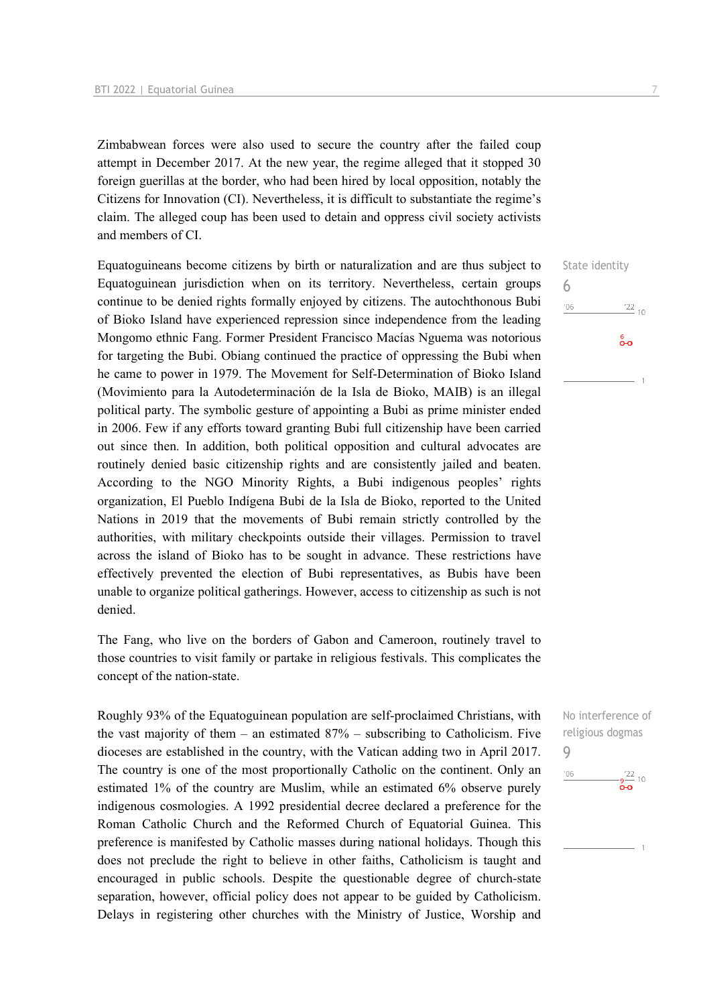Zimbabwean forces were also used to secure the country after the failed coup attempt in December 2017. At the new year, the regime alleged that it stopped 30 foreign guerillas at the border, who had been hired by local opposition, notably the Citizens for Innovation (CI). Nevertheless, it is difficult to substantiate the regime's claim. The alleged coup has been used to detain and oppress civil society activists and members of CI.

Equatoguineans become citizens by birth or naturalization and are thus subject to Equatoguinean jurisdiction when on its territory. Nevertheless, certain groups continue to be denied rights formally enjoyed by citizens. The autochthonous Bubi of Bioko Island have experienced repression since independence from the leading Mongomo ethnic Fang. Former President Francisco Macías Nguema was notorious for targeting the Bubi. Obiang continued the practice of oppressing the Bubi when he came to power in 1979. The Movement for Self-Determination of Bioko Island (Movimiento para la Autodeterminación de la Isla de Bioko, MAIB) is an illegal political party. The symbolic gesture of appointing a Bubi as prime minister ended in 2006. Few if any efforts toward granting Bubi full citizenship have been carried out since then. In addition, both political opposition and cultural advocates are routinely denied basic citizenship rights and are consistently jailed and beaten. According to the NGO Minority Rights, a Bubi indigenous peoples' rights organization, El Pueblo Indígena Bubi de la Isla de Bioko, reported to the United Nations in 2019 that the movements of Bubi remain strictly controlled by the authorities, with military checkpoints outside their villages. Permission to travel across the island of Bioko has to be sought in advance. These restrictions have effectively prevented the election of Bubi representatives, as Bubis have been unable to organize political gatherings. However, access to citizenship as such is not denied.

The Fang, who live on the borders of Gabon and Cameroon, routinely travel to those countries to visit family or partake in religious festivals. This complicates the concept of the nation-state.

Roughly 93% of the Equatoguinean population are self-proclaimed Christians, with the vast majority of them – an estimated  $87%$  – subscribing to Catholicism. Five dioceses are established in the country, with the Vatican adding two in April 2017. The country is one of the most proportionally Catholic on the continent. Only an estimated 1% of the country are Muslim, while an estimated 6% observe purely indigenous cosmologies. A 1992 presidential decree declared a preference for the Roman Catholic Church and the Reformed Church of Equatorial Guinea. This preference is manifested by Catholic masses during national holidays. Though this does not preclude the right to believe in other faiths, Catholicism is taught and encouraged in public schools. Despite the questionable degree of church-state separation, however, official policy does not appear to be guided by Catholicism. Delays in registering other churches with the Ministry of Justice, Worship and

State identity 6  $'06$  $\frac{22}{10}$ စိတ

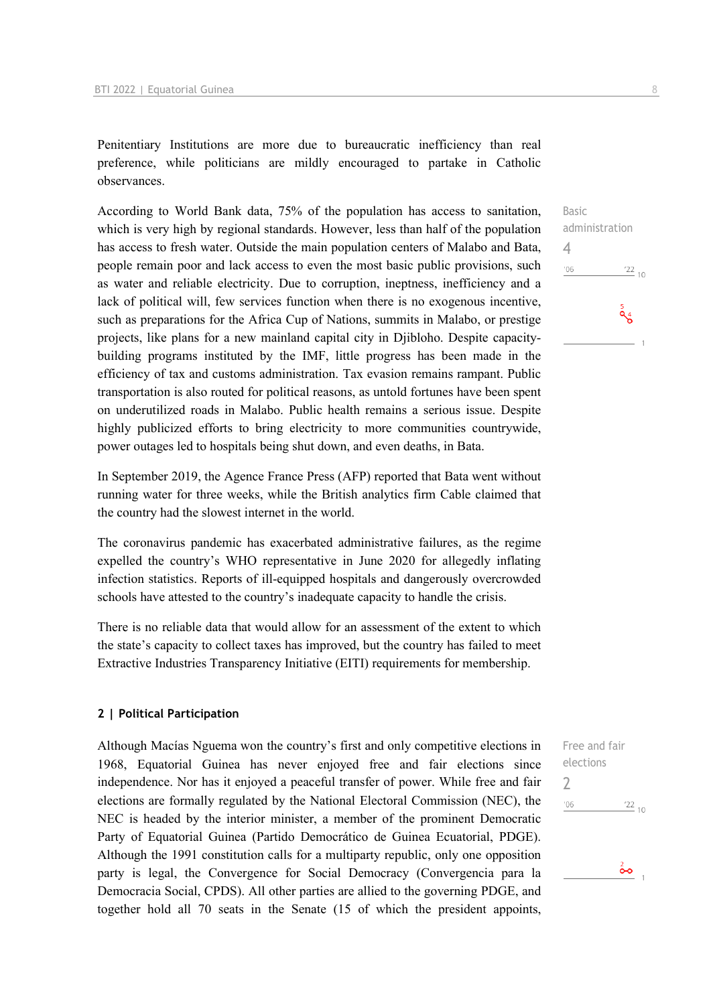Penitentiary Institutions are more due to bureaucratic inefficiency than real preference, while politicians are mildly encouraged to partake in Catholic observances.

According to World Bank data, 75% of the population has access to sanitation, which is very high by regional standards. However, less than half of the population has access to fresh water. Outside the main population centers of Malabo and Bata, people remain poor and lack access to even the most basic public provisions, such as water and reliable electricity. Due to corruption, ineptness, inefficiency and a lack of political will, few services function when there is no exogenous incentive, such as preparations for the Africa Cup of Nations, summits in Malabo, or prestige projects, like plans for a new mainland capital city in Djibloho. Despite capacitybuilding programs instituted by the IMF, little progress has been made in the efficiency of tax and customs administration. Tax evasion remains rampant. Public transportation is also routed for political reasons, as untold fortunes have been spent on underutilized roads in Malabo. Public health remains a serious issue. Despite highly publicized efforts to bring electricity to more communities countrywide, power outages led to hospitals being shut down, and even deaths, in Bata.

In September 2019, the Agence France Press (AFP) reported that Bata went without running water for three weeks, while the British analytics firm Cable claimed that the country had the slowest internet in the world.

The coronavirus pandemic has exacerbated administrative failures, as the regime expelled the country's WHO representative in June 2020 for allegedly inflating infection statistics. Reports of ill-equipped hospitals and dangerously overcrowded schools have attested to the country's inadequate capacity to handle the crisis.

There is no reliable data that would allow for an assessment of the extent to which the state's capacity to collect taxes has improved, but the country has failed to meet Extractive Industries Transparency Initiative (EITI) requirements for membership.

#### **2 | Political Participation**

Although Macías Nguema won the country's first and only competitive elections in 1968, Equatorial Guinea has never enjoyed free and fair elections since independence. Nor has it enjoyed a peaceful transfer of power. While free and fair elections are formally regulated by the National Electoral Commission (NEC), the NEC is headed by the interior minister, a member of the prominent Democratic Party of Equatorial Guinea (Partido Democrático de Guinea Ecuatorial, PDGE). Although the 1991 constitution calls for a multiparty republic, only one opposition party is legal, the Convergence for Social Democracy (Convergencia para la Democracia Social, CPDS). All other parties are allied to the governing PDGE, and together hold all 70 seats in the Senate (15 of which the president appoints,

Basic administration 4  $^{\prime}06$  $\frac{22}{10}$  $\frac{5}{96}$ 

Free and fair elections 2 $^{\prime}06$  $^{22}_{-10}$ 

 $\frac{2}{\bullet}$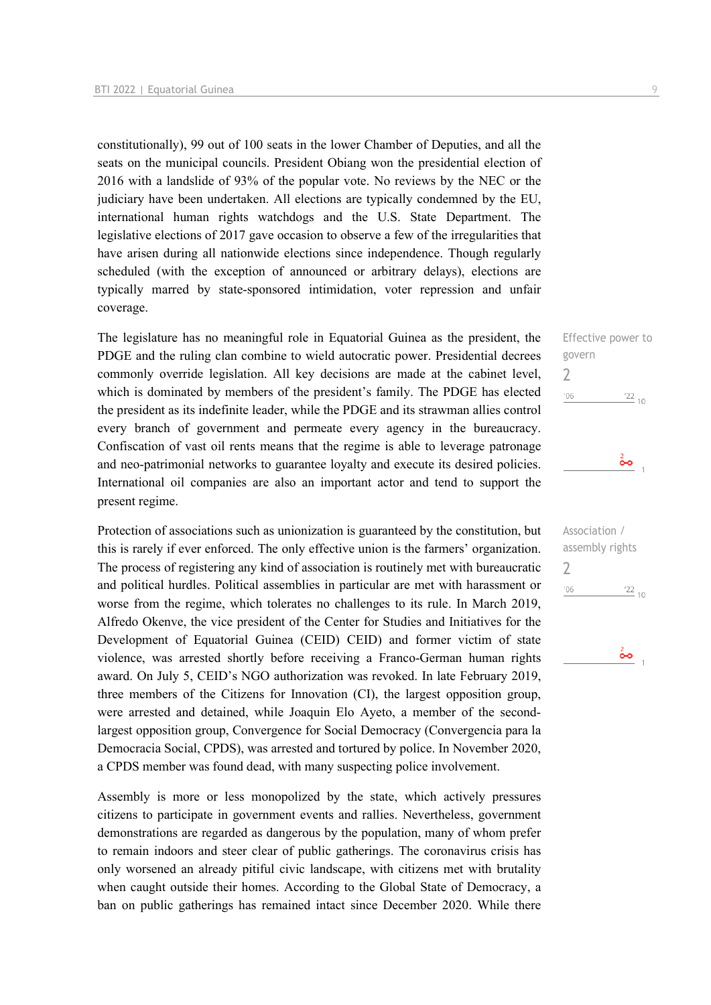constitutionally), 99 out of 100 seats in the lower Chamber of Deputies, and all the seats on the municipal councils. President Obiang won the presidential election of 2016 with a landslide of 93% of the popular vote. No reviews by the NEC or the judiciary have been undertaken. All elections are typically condemned by the EU, international human rights watchdogs and the U.S. State Department. The legislative elections of 2017 gave occasion to observe a few of the irregularities that have arisen during all nationwide elections since independence. Though regularly scheduled (with the exception of announced or arbitrary delays), elections are typically marred by state-sponsored intimidation, voter repression and unfair coverage.

The legislature has no meaningful role in Equatorial Guinea as the president, the PDGE and the ruling clan combine to wield autocratic power. Presidential decrees commonly override legislation. All key decisions are made at the cabinet level, which is dominated by members of the president's family. The PDGE has elected the president as its indefinite leader, while the PDGE and its strawman allies control every branch of government and permeate every agency in the bureaucracy. Confiscation of vast oil rents means that the regime is able to leverage patronage and neo-patrimonial networks to guarantee loyalty and execute its desired policies. International oil companies are also an important actor and tend to support the present regime.

Protection of associations such as unionization is guaranteed by the constitution, but this is rarely if ever enforced. The only effective union is the farmers' organization. The process of registering any kind of association is routinely met with bureaucratic and political hurdles. Political assemblies in particular are met with harassment or worse from the regime, which tolerates no challenges to its rule. In March 2019, Alfredo Okenve, the vice president of the Center for Studies and Initiatives for the Development of Equatorial Guinea (CEID) CEID) and former victim of state violence, was arrested shortly before receiving a Franco-German human rights award. On July 5, CEID's NGO authorization was revoked. In late February 2019, three members of the Citizens for Innovation (CI), the largest opposition group, were arrested and detained, while Joaquin Elo Ayeto, a member of the secondlargest opposition group, Convergence for Social Democracy (Convergencia para la Democracia Social, CPDS), was arrested and tortured by police. In November 2020, a CPDS member was found dead, with many suspecting police involvement.

Assembly is more or less monopolized by the state, which actively pressures citizens to participate in government events and rallies. Nevertheless, government demonstrations are regarded as dangerous by the population, many of whom prefer to remain indoors and steer clear of public gatherings. The coronavirus crisis has only worsened an already pitiful civic landscape, with citizens met with brutality when caught outside their homes. According to the Global State of Democracy, a ban on public gatherings has remained intact since December 2020. While there

Effective power to govern  $\overline{\phantom{0}}$  $\frac{22}{10}$  $'06$ ő۰

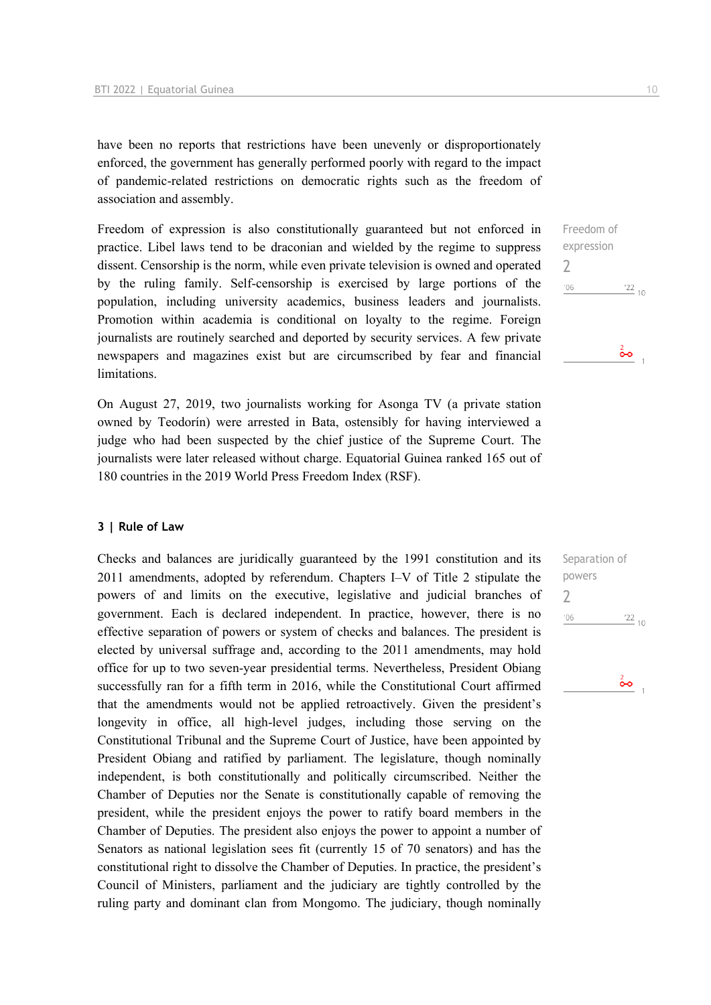have been no reports that restrictions have been unevenly or disproportionately enforced, the government has generally performed poorly with regard to the impact of pandemic-related restrictions on democratic rights such as the freedom of association and assembly.

Freedom of expression is also constitutionally guaranteed but not enforced in practice. Libel laws tend to be draconian and wielded by the regime to suppress dissent. Censorship is the norm, while even private television is owned and operated by the ruling family. Self-censorship is exercised by large portions of the population, including university academics, business leaders and journalists. Promotion within academia is conditional on loyalty to the regime. Foreign journalists are routinely searched and deported by security services. A few private newspapers and magazines exist but are circumscribed by fear and financial limitations.

On August 27, 2019, two journalists working for Asonga TV (a private station owned by Teodorín) were arrested in Bata, ostensibly for having interviewed a judge who had been suspected by the chief justice of the Supreme Court. The journalists were later released without charge. Equatorial Guinea ranked 165 out of 180 countries in the 2019 World Press Freedom Index (RSF).

#### **3 | Rule of Law**

Checks and balances are juridically guaranteed by the 1991 constitution and its 2011 amendments, adopted by referendum. Chapters I–V of Title 2 stipulate the powers of and limits on the executive, legislative and judicial branches of government. Each is declared independent. In practice, however, there is no effective separation of powers or system of checks and balances. The president is elected by universal suffrage and, according to the 2011 amendments, may hold office for up to two seven-year presidential terms. Nevertheless, President Obiang successfully ran for a fifth term in 2016, while the Constitutional Court affirmed that the amendments would not be applied retroactively. Given the president's longevity in office, all high-level judges, including those serving on the Constitutional Tribunal and the Supreme Court of Justice, have been appointed by President Obiang and ratified by parliament. The legislature, though nominally independent, is both constitutionally and politically circumscribed. Neither the Chamber of Deputies nor the Senate is constitutionally capable of removing the president, while the president enjoys the power to ratify board members in the Chamber of Deputies. The president also enjoys the power to appoint a number of Senators as national legislation sees fit (currently 15 of 70 senators) and has the constitutional right to dissolve the Chamber of Deputies. In practice, the president's Council of Ministers, parliament and the judiciary are tightly controlled by the ruling party and dominant clan from Mongomo. The judiciary, though nominally

Freedom of expression  $\overline{\phantom{0}}$  $-06$  $\frac{22}{10}$  $\frac{2}{\mathbf{O}}\mathbf{O}$ 

Separation of powers  $\overline{\phantom{0}}$ 

 $-06$ 

 $\frac{22}{10}$ 

 $\frac{2}{\bullet}$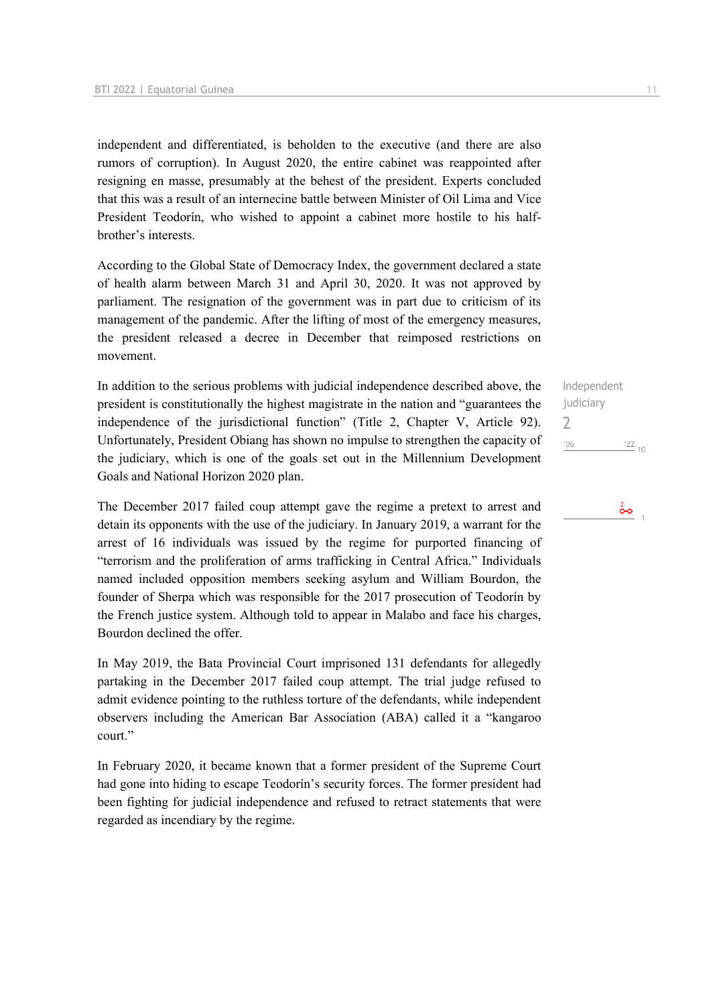independent and differentiated, is beholden to the executive (and there are also rumors of corruption). In August 2020, the entire cabinet was reappointed after resigning en masse, presumably at the behest of the president. Experts concluded that this was a result of an internecine battle between Minister of Oil Lima and Vice President Teodorín, who wished to appoint a cabinet more hostile to his halfbrother's interests.

According to the Global State of Democracy Index, the government declared a state of health alarm between March 31 and April 30, 2020. It was not approved by parliament. The resignation of the government was in part due to criticism of its management of the pandemic. After the lifting of most of the emergency measures, the president released a decree in December that reimposed restrictions on movement.

In addition to the serious problems with judicial independence described above, the president is constitutionally the highest magistrate in the nation and "guarantees the independence of the jurisdictional function" (Title 2, Chapter V, Article 92). Unfortunately, President Obiang has shown no impulse to strengthen the capacity of the judiciary, which is one of the goals set out in the Millennium Development Goals and National Horizon 2020 plan.

The December 2017 failed coup attempt gave the regime a pretext to arrest and detain its opponents with the use of the judiciary. In January 2019, a warrant for the arrest of 16 individuals was issued by the regime for purported financing of "terrorism and the proliferation of arms trafficking in Central Africa." Individuals named included opposition members seeking asylum and William Bourdon, the founder of Sherpa which was responsible for the 2017 prosecution of Teodorín by the French justice system. Although told to appear in Malabo and face his charges, Bourdon declined the offer.

In May 2019, the Bata Provincial Court imprisoned 131 defendants for allegedly partaking in the December 2017 failed coup attempt. The trial judge refused to admit evidence pointing to the ruthless torture of the defendants, while independent observers including the American Bar Association (ABA) called it a "kangaroo court."

In February 2020, it became known that a former president of the Supreme Court had gone into hiding to escape Teodorín's security forces. The former president had been fighting for judicial independence and refused to retract statements that were regarded as incendiary by the regime.

Independent judiciary 2 $-06$  $\frac{22}{10}$ 

# $\frac{2}{\mathbf{O}}$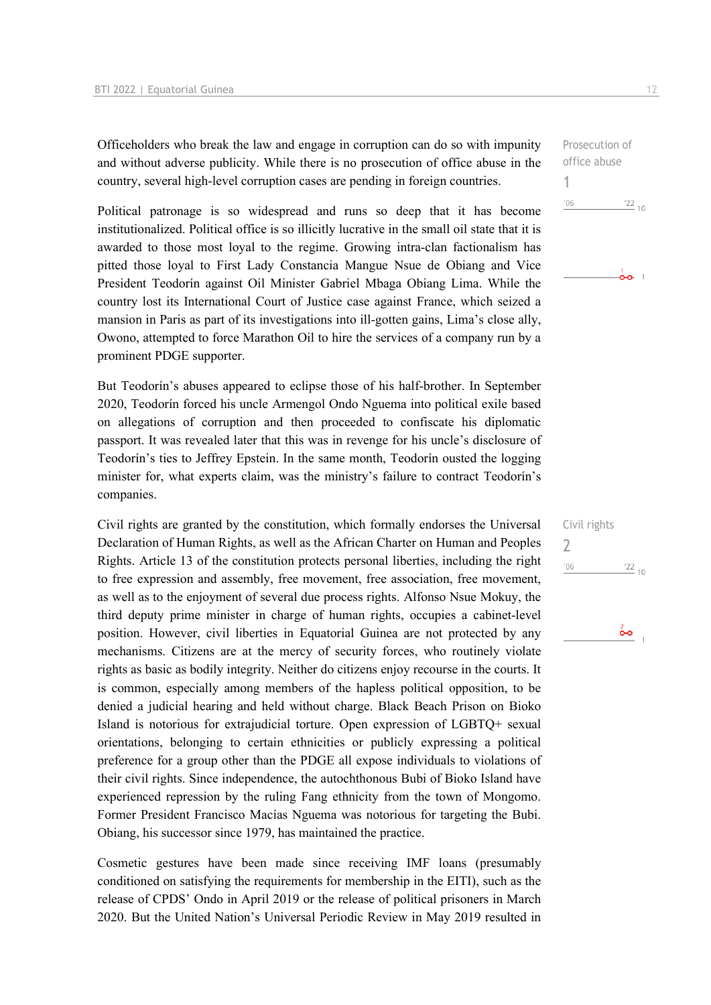Officeholders who break the law and engage in corruption can do so with impunity and without adverse publicity. While there is no prosecution of office abuse in the country, several high-level corruption cases are pending in foreign countries.

Political patronage is so widespread and runs so deep that it has become institutionalized. Political office is so illicitly lucrative in the small oil state that it is awarded to those most loyal to the regime. Growing intra-clan factionalism has pitted those loyal to First Lady Constancia Mangue Nsue de Obiang and Vice President Teodorín against Oil Minister Gabriel Mbaga Obiang Lima. While the country lost its International Court of Justice case against France, which seized a mansion in Paris as part of its investigations into ill-gotten gains, Lima's close ally, Owono, attempted to force Marathon Oil to hire the services of a company run by a prominent PDGE supporter.

But Teodorín's abuses appeared to eclipse those of his half-brother. In September 2020, Teodorín forced his uncle Armengol Ondo Nguema into political exile based on allegations of corruption and then proceeded to confiscate his diplomatic passport. It was revealed later that this was in revenge for his uncle's disclosure of Teodorín's ties to Jeffrey Epstein. In the same month, Teodorín ousted the logging minister for, what experts claim, was the ministry's failure to contract Teodorín's companies.

Civil rights are granted by the constitution, which formally endorses the Universal Declaration of Human Rights, as well as the African Charter on Human and Peoples Rights. Article 13 of the constitution protects personal liberties, including the right to free expression and assembly, free movement, free association, free movement, as well as to the enjoyment of several due process rights. Alfonso Nsue Mokuy, the third deputy prime minister in charge of human rights, occupies a cabinet-level position. However, civil liberties in Equatorial Guinea are not protected by any mechanisms. Citizens are at the mercy of security forces, who routinely violate rights as basic as bodily integrity. Neither do citizens enjoy recourse in the courts. It is common, especially among members of the hapless political opposition, to be denied a judicial hearing and held without charge. Black Beach Prison on Bioko Island is notorious for extrajudicial torture. Open expression of LGBTQ+ sexual orientations, belonging to certain ethnicities or publicly expressing a political preference for a group other than the PDGE all expose individuals to violations of their civil rights. Since independence, the autochthonous Bubi of Bioko Island have experienced repression by the ruling Fang ethnicity from the town of Mongomo. Former President Francisco Macías Nguema was notorious for targeting the Bubi. Obiang, his successor since 1979, has maintained the practice.

Cosmetic gestures have been made since receiving IMF loans (presumably conditioned on satisfying the requirements for membership in the EITI), such as the release of CPDS' Ondo in April 2019 or the release of political prisoners in March 2020. But the United Nation's Universal Periodic Review in May 2019 resulted in

Prosecution of office abuse 1  $106$  $122_{10}$ 

 $\frac{1}{2}$ 

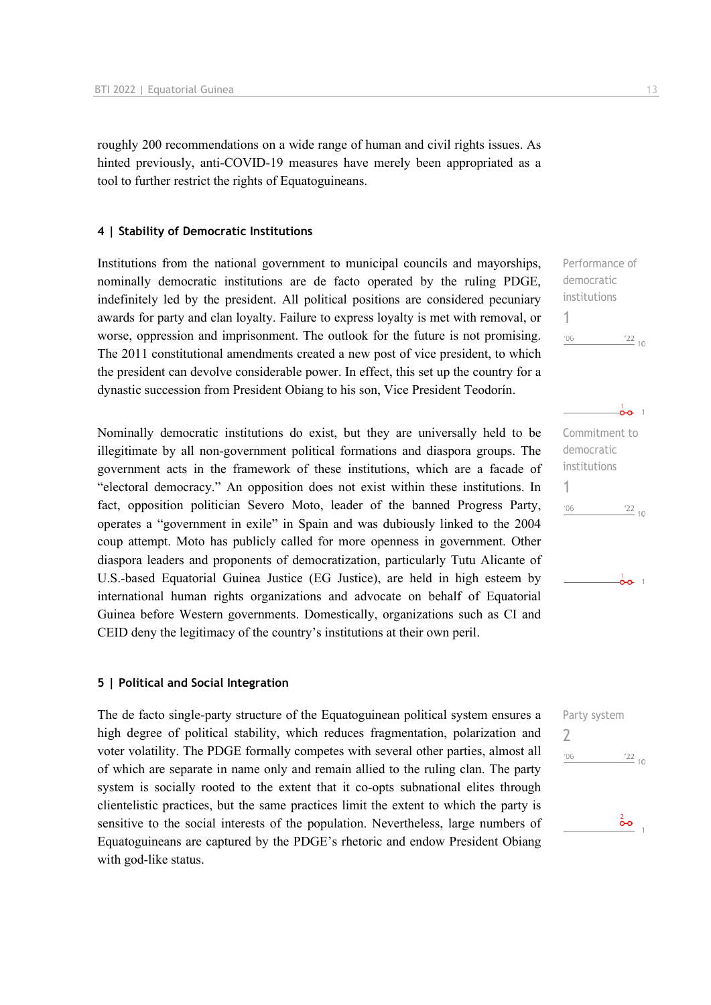roughly 200 recommendations on a wide range of human and civil rights issues. As hinted previously, anti-COVID-19 measures have merely been appropriated as a tool to further restrict the rights of Equatoguineans.

#### **4 | Stability of Democratic Institutions**

Institutions from the national government to municipal councils and mayorships, nominally democratic institutions are de facto operated by the ruling PDGE, indefinitely led by the president. All political positions are considered pecuniary awards for party and clan loyalty. Failure to express loyalty is met with removal, or worse, oppression and imprisonment. The outlook for the future is not promising. The 2011 constitutional amendments created a new post of vice president, to which the president can devolve considerable power. In effect, this set up the country for a dynastic succession from President Obiang to his son, Vice President Teodorín.

Nominally democratic institutions do exist, but they are universally held to be illegitimate by all non-government political formations and diaspora groups. The government acts in the framework of these institutions, which are a facade of "electoral democracy." An opposition does not exist within these institutions. In fact, opposition politician Severo Moto, leader of the banned Progress Party, operates a "government in exile" in Spain and was dubiously linked to the 2004 coup attempt. Moto has publicly called for more openness in government. Other diaspora leaders and proponents of democratization, particularly Tutu Alicante of U.S.-based Equatorial Guinea Justice (EG Justice), are held in high esteem by international human rights organizations and advocate on behalf of Equatorial Guinea before Western governments. Domestically, organizations such as CI and CEID deny the legitimacy of the country's institutions at their own peril.

#### **5 | Political and Social Integration**

The de facto single-party structure of the Equatoguinean political system ensures a high degree of political stability, which reduces fragmentation, polarization and voter volatility. The PDGE formally competes with several other parties, almost all of which are separate in name only and remain allied to the ruling clan. The party system is socially rooted to the extent that it co-opts subnational elites through clientelistic practices, but the same practices limit the extent to which the party is sensitive to the social interests of the population. Nevertheless, large numbers of Equatoguineans are captured by the PDGE's rhetoric and endow President Obiang with god-like status.

Performance of democratic institutions 1  $\frac{22}{10}$  $'06$ 



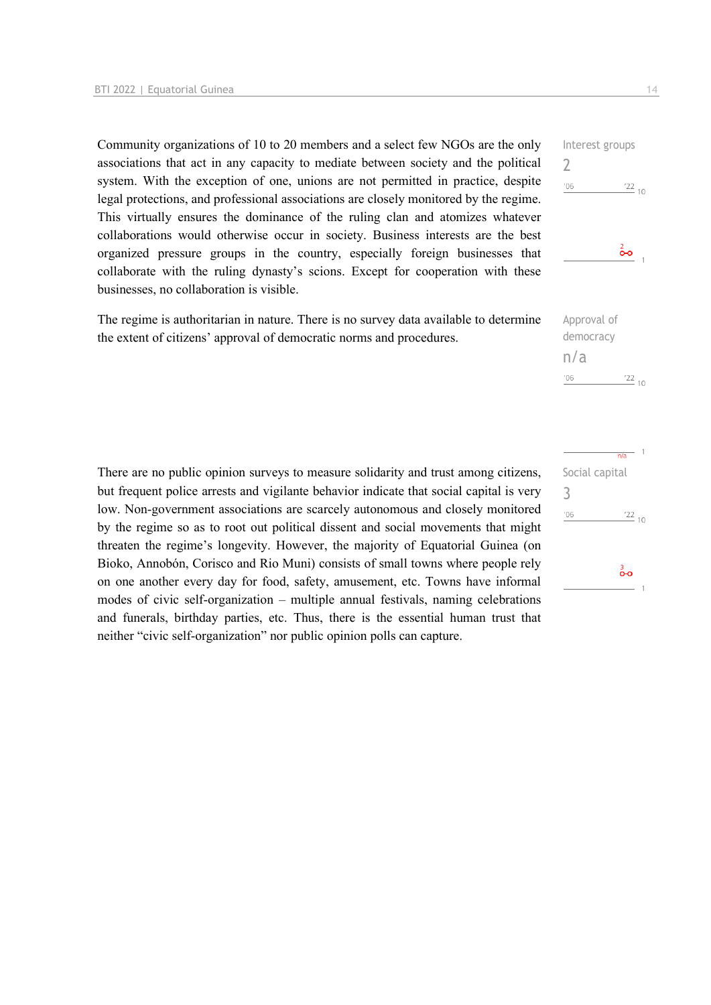Community organizations of 10 to 20 members and a select few NGOs are the only associations that act in any capacity to mediate between society and the political system. With the exception of one, unions are not permitted in practice, despite legal protections, and professional associations are closely monitored by the regime. This virtually ensures the dominance of the ruling clan and atomizes whatever collaborations would otherwise occur in society. Business interests are the best organized pressure groups in the country, especially foreign businesses that collaborate with the ruling dynasty's scions. Except for cooperation with these businesses, no collaboration is visible.

The regime is authoritarian in nature. There is no survey data available to determine the extent of citizens' approval of democratic norms and procedures.

There are no public opinion surveys to measure solidarity and trust among citizens, but frequent police arrests and vigilante behavior indicate that social capital is very low. Non-government associations are scarcely autonomous and closely monitored by the regime so as to root out political dissent and social movements that might threaten the regime's longevity. However, the majority of Equatorial Guinea (on Bioko, Annobón, Corisco and Rio Muni) consists of small towns where people rely on one another every day for food, safety, amusement, etc. Towns have informal modes of civic self-organization – multiple annual festivals, naming celebrations and funerals, birthday parties, etc. Thus, there is the essential human trust that neither "civic self-organization" nor public opinion polls can capture.

# $n/a$ Social capital  $\frac{22}{10}$  $'06$

 $\frac{22}{10}$ 

Approval of democracy

n/a

'06

3

 $\overline{\phantom{0}}$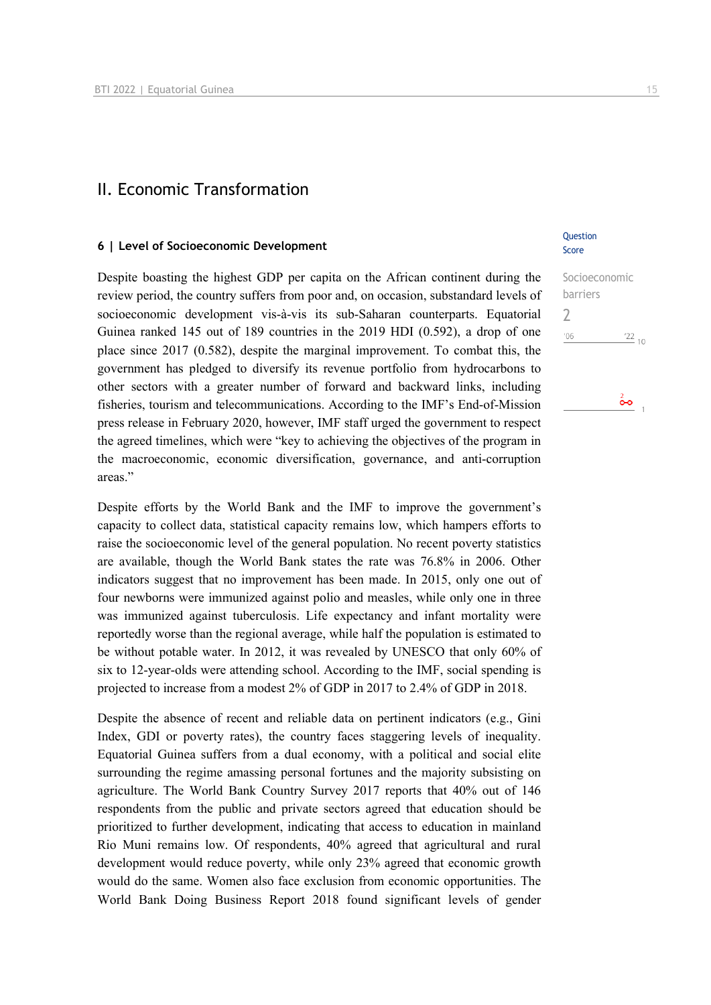### II. Economic Transformation

#### **6 | Level of Socioeconomic Development**

Despite boasting the highest GDP per capita on the African continent during the review period, the country suffers from poor and, on occasion, substandard levels of socioeconomic development vis-à-vis its sub-Saharan counterparts. Equatorial Guinea ranked 145 out of 189 countries in the 2019 HDI (0.592), a drop of one place since 2017 (0.582), despite the marginal improvement. To combat this, the government has pledged to diversify its revenue portfolio from hydrocarbons to other sectors with a greater number of forward and backward links, including fisheries, tourism and telecommunications. According to the IMF's End-of-Mission press release in February 2020, however, IMF staff urged the government to respect the agreed timelines, which were "key to achieving the objectives of the program in the macroeconomic, economic diversification, governance, and anti-corruption areas."

Despite efforts by the World Bank and the IMF to improve the government's capacity to collect data, statistical capacity remains low, which hampers efforts to raise the socioeconomic level of the general population. No recent poverty statistics are available, though the World Bank states the rate was 76.8% in 2006. Other indicators suggest that no improvement has been made. In 2015, only one out of four newborns were immunized against polio and measles, while only one in three was immunized against tuberculosis. Life expectancy and infant mortality were reportedly worse than the regional average, while half the population is estimated to be without potable water. In 2012, it was revealed by UNESCO that only 60% of six to 12-year-olds were attending school. According to the IMF, social spending is projected to increase from a modest 2% of GDP in 2017 to 2.4% of GDP in 2018.

Despite the absence of recent and reliable data on pertinent indicators (e.g., Gini Index, GDI or poverty rates), the country faces staggering levels of inequality. Equatorial Guinea suffers from a dual economy, with a political and social elite surrounding the regime amassing personal fortunes and the majority subsisting on agriculture. The World Bank Country Survey 2017 reports that 40% out of 146 respondents from the public and private sectors agreed that education should be prioritized to further development, indicating that access to education in mainland Rio Muni remains low. Of respondents, 40% agreed that agricultural and rural development would reduce poverty, while only 23% agreed that economic growth would do the same. Women also face exclusion from economic opportunities. The World Bank Doing Business Report 2018 found significant levels of gender

#### **Ouestion** Score

Socioeconomic barriers  $\overline{\phantom{0}}$  $06'$  $\frac{22}{10}$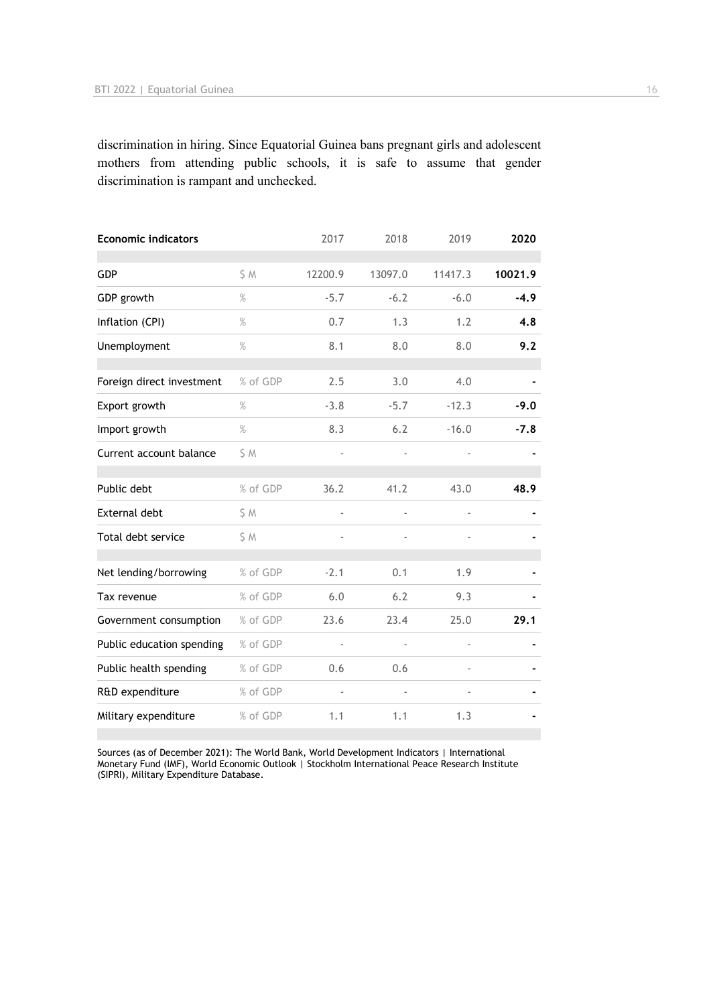discrimination in hiring. Since Equatorial Guinea bans pregnant girls and adolescent mothers from attending public schools, it is safe to assume that gender discrimination is rampant and unchecked.

| <b>Economic indicators</b> |          | 2017          | 2018                     | 2019    | 2020    |
|----------------------------|----------|---------------|--------------------------|---------|---------|
| <b>GDP</b>                 | \$M      | 12200.9       | 13097.0                  | 11417.3 | 10021.9 |
| GDP growth                 | $\%$     | $-5.7$        | $-6.2$                   | $-6.0$  | $-4.9$  |
| Inflation (CPI)            | $\%$     | 0.7           | 1.3                      | 1.2     | 4.8     |
| Unemployment               | $\%$     | 8.1           | 8.0                      | 8.0     | 9.2     |
| Foreign direct investment  | % of GDP | 2.5           | 3.0                      | 4.0     |         |
| Export growth              | $\%$     | $-3.8$        | $-5.7$                   | $-12.3$ | $-9.0$  |
| Import growth              | $\%$     | 8.3           | 6.2                      | $-16.0$ | $-7.8$  |
| Current account balance    | \$ M     |               |                          |         |         |
| Public debt                | % of GDP | 36.2          | 41.2                     | 43.0    | 48.9    |
| External debt              | \$M      | ÷,            |                          |         |         |
| Total debt service         | \$M      |               |                          |         |         |
| Net lending/borrowing      | % of GDP | $-2.1$        | 0.1                      | 1.9     |         |
| Tax revenue                | % of GDP | 6.0           | 6.2                      | 9.3     |         |
| Government consumption     | % of GDP | 23.6          | 23.4                     | 25.0    | 29.1    |
| Public education spending  | % of GDP | $\frac{1}{2}$ | $\overline{\phantom{0}}$ |         |         |
| Public health spending     | % of GDP | 0.6           | 0.6                      |         |         |
| R&D expenditure            | % of GDP |               |                          |         |         |
| Military expenditure       | % of GDP | 1.1           | 1.1                      | 1.3     |         |

Sources (as of December 2021): The World Bank, World Development Indicators | International Monetary Fund (IMF), World Economic Outlook | Stockholm International Peace Research Institute (SIPRI), Military Expenditure Database.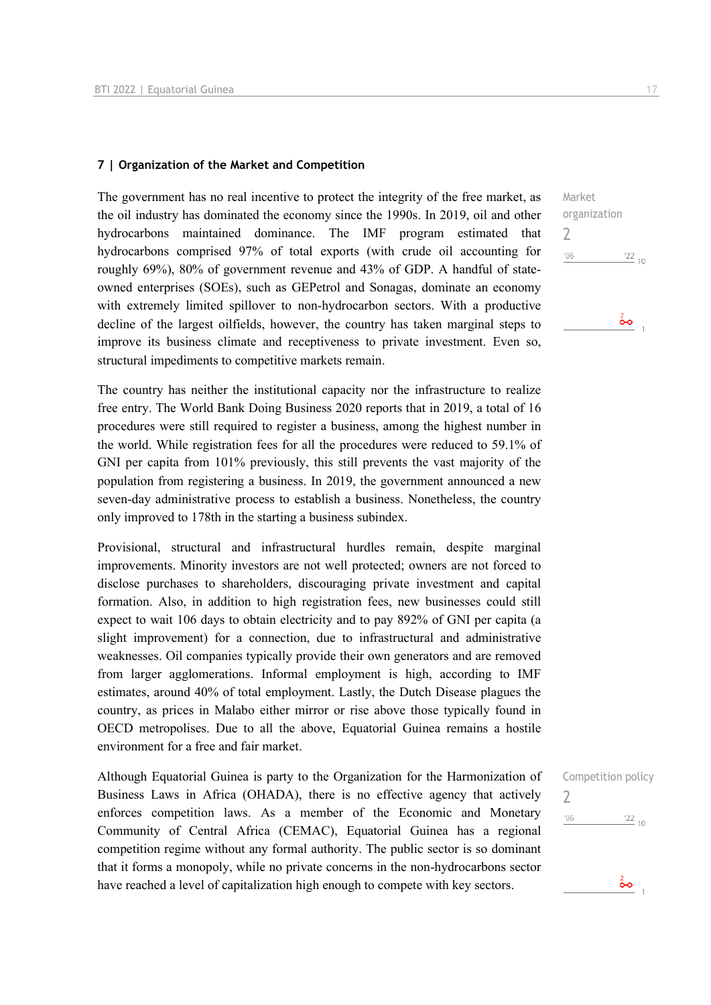#### **7 | Organization of the Market and Competition**

The government has no real incentive to protect the integrity of the free market, as the oil industry has dominated the economy since the 1990s. In 2019, oil and other hydrocarbons maintained dominance. The IMF program estimated that hydrocarbons comprised 97% of total exports (with crude oil accounting for roughly 69%), 80% of government revenue and 43% of GDP. A handful of stateowned enterprises (SOEs), such as GEPetrol and Sonagas, dominate an economy with extremely limited spillover to non-hydrocarbon sectors. With a productive decline of the largest oilfields, however, the country has taken marginal steps to improve its business climate and receptiveness to private investment. Even so, structural impediments to competitive markets remain.

The country has neither the institutional capacity nor the infrastructure to realize free entry. The World Bank Doing Business 2020 reports that in 2019, a total of 16 procedures were still required to register a business, among the highest number in the world. While registration fees for all the procedures were reduced to 59.1% of GNI per capita from 101% previously, this still prevents the vast majority of the population from registering a business. In 2019, the government announced a new seven-day administrative process to establish a business. Nonetheless, the country only improved to 178th in the starting a business subindex.

Provisional, structural and infrastructural hurdles remain, despite marginal improvements. Minority investors are not well protected; owners are not forced to disclose purchases to shareholders, discouraging private investment and capital formation. Also, in addition to high registration fees, new businesses could still expect to wait 106 days to obtain electricity and to pay 892% of GNI per capita (a slight improvement) for a connection, due to infrastructural and administrative weaknesses. Oil companies typically provide their own generators and are removed from larger agglomerations. Informal employment is high, according to IMF estimates, around 40% of total employment. Lastly, the Dutch Disease plagues the country, as prices in Malabo either mirror or rise above those typically found in OECD metropolises. Due to all the above, Equatorial Guinea remains a hostile environment for a free and fair market.

Although Equatorial Guinea is party to the Organization for the Harmonization of Business Laws in Africa (OHADA), there is no effective agency that actively enforces competition laws. As a member of the Economic and Monetary Community of Central Africa (CEMAC), Equatorial Guinea has a regional competition regime without any formal authority. The public sector is so dominant that it forms a monopoly, while no private concerns in the non-hydrocarbons sector have reached a level of capitalization high enough to compete with key sectors.

Market organization 2  $^{\prime}06$  $\frac{22}{10}$  $\frac{2}{2}$ 



 $\frac{2}{5}$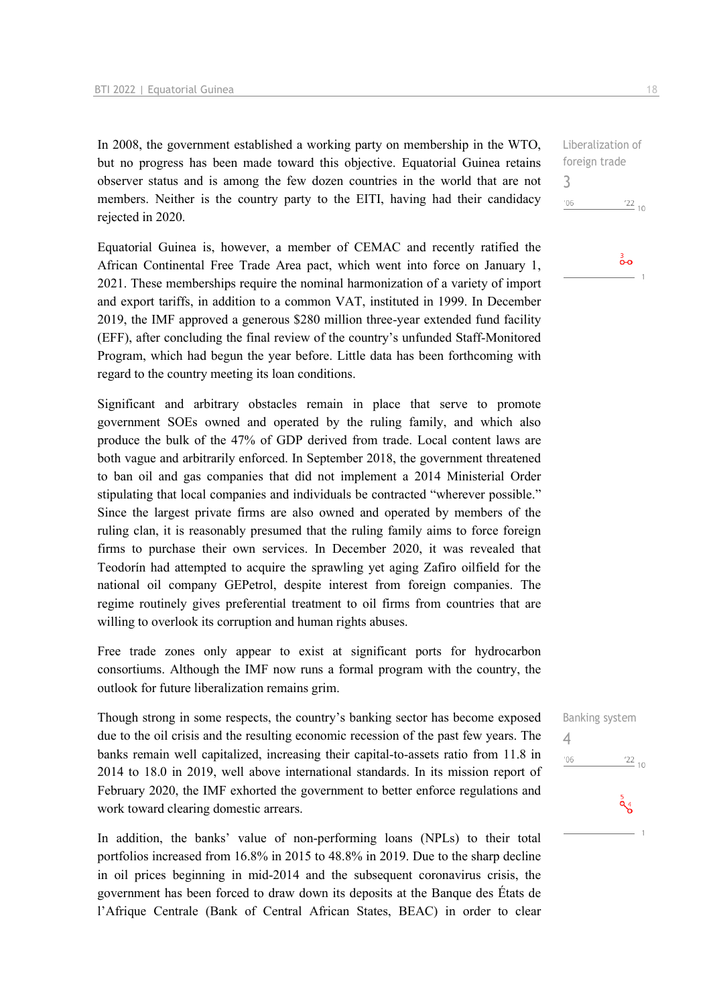In 2008, the government established a working party on membership in the WTO, but no progress has been made toward this objective. Equatorial Guinea retains observer status and is among the few dozen countries in the world that are not members. Neither is the country party to the EITI, having had their candidacy rejected in 2020.

Equatorial Guinea is, however, a member of CEMAC and recently ratified the African Continental Free Trade Area pact, which went into force on January 1, 2021. These memberships require the nominal harmonization of a variety of import and export tariffs, in addition to a common VAT, instituted in 1999. In December 2019, the IMF approved a generous \$280 million three-year extended fund facility (EFF), after concluding the final review of the country's unfunded Staff-Monitored Program, which had begun the year before. Little data has been forthcoming with regard to the country meeting its loan conditions.

Significant and arbitrary obstacles remain in place that serve to promote government SOEs owned and operated by the ruling family, and which also produce the bulk of the 47% of GDP derived from trade. Local content laws are both vague and arbitrarily enforced. In September 2018, the government threatened to ban oil and gas companies that did not implement a 2014 Ministerial Order stipulating that local companies and individuals be contracted "wherever possible." Since the largest private firms are also owned and operated by members of the ruling clan, it is reasonably presumed that the ruling family aims to force foreign firms to purchase their own services. In December 2020, it was revealed that Teodorín had attempted to acquire the sprawling yet aging Zafiro oilfield for the national oil company GEPetrol, despite interest from foreign companies. The regime routinely gives preferential treatment to oil firms from countries that are willing to overlook its corruption and human rights abuses.

Free trade zones only appear to exist at significant ports for hydrocarbon consortiums. Although the IMF now runs a formal program with the country, the outlook for future liberalization remains grim.

Though strong in some respects, the country's banking sector has become exposed due to the oil crisis and the resulting economic recession of the past few years. The banks remain well capitalized, increasing their capital-to-assets ratio from 11.8 in 2014 to 18.0 in 2019, well above international standards. In its mission report of February 2020, the IMF exhorted the government to better enforce regulations and work toward clearing domestic arrears.

In addition, the banks' value of non-performing loans (NPLs) to their total portfolios increased from 16.8% in 2015 to 48.8% in 2019. Due to the sharp decline in oil prices beginning in mid-2014 and the subsequent coronavirus crisis, the government has been forced to draw down its deposits at the Banque des États de l'Afrique Centrale (Bank of Central African States, BEAC) in order to clear

Liberalization of foreign trade

 $^{\prime}06$  $122_{10}$ 

3

ౚఄఄౚ

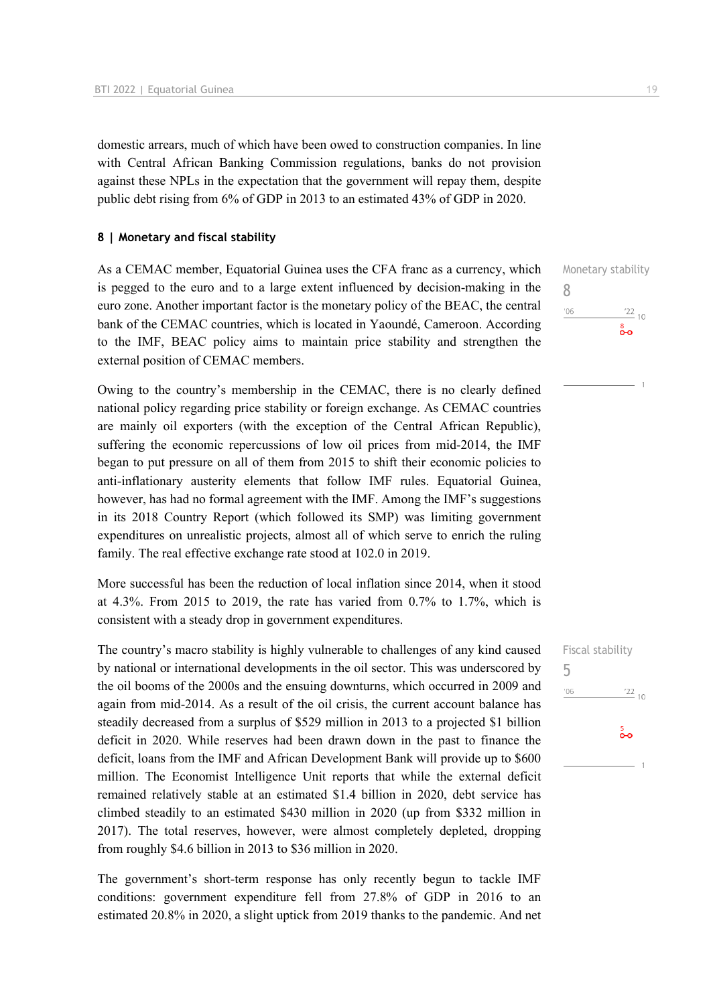domestic arrears, much of which have been owed to construction companies. In line with Central African Banking Commission regulations, banks do not provision against these NPLs in the expectation that the government will repay them, despite public debt rising from 6% of GDP in 2013 to an estimated 43% of GDP in 2020.

#### **8 | Monetary and fiscal stability**

As a CEMAC member, Equatorial Guinea uses the CFA franc as a currency, which is pegged to the euro and to a large extent influenced by decision-making in the euro zone. Another important factor is the monetary policy of the BEAC, the central bank of the CEMAC countries, which is located in Yaoundé, Cameroon. According to the IMF, BEAC policy aims to maintain price stability and strengthen the external position of CEMAC members.

Owing to the country's membership in the CEMAC, there is no clearly defined national policy regarding price stability or foreign exchange. As CEMAC countries are mainly oil exporters (with the exception of the Central African Republic), suffering the economic repercussions of low oil prices from mid-2014, the IMF began to put pressure on all of them from 2015 to shift their economic policies to anti-inflationary austerity elements that follow IMF rules. Equatorial Guinea, however, has had no formal agreement with the IMF. Among the IMF's suggestions in its 2018 Country Report (which followed its SMP) was limiting government expenditures on unrealistic projects, almost all of which serve to enrich the ruling family. The real effective exchange rate stood at 102.0 in 2019.

More successful has been the reduction of local inflation since 2014, when it stood at 4.3%. From 2015 to 2019, the rate has varied from 0.7% to 1.7%, which is consistent with a steady drop in government expenditures.

The country's macro stability is highly vulnerable to challenges of any kind caused by national or international developments in the oil sector. This was underscored by the oil booms of the 2000s and the ensuing downturns, which occurred in 2009 and again from mid-2014. As a result of the oil crisis, the current account balance has steadily decreased from a surplus of \$529 million in 2013 to a projected \$1 billion deficit in 2020. While reserves had been drawn down in the past to finance the deficit, loans from the IMF and African Development Bank will provide up to \$600 million. The Economist Intelligence Unit reports that while the external deficit remained relatively stable at an estimated \$1.4 billion in 2020, debt service has climbed steadily to an estimated \$430 million in 2020 (up from \$332 million in 2017). The total reserves, however, were almost completely depleted, dropping from roughly \$4.6 billion in 2013 to \$36 million in 2020.

The government's short-term response has only recently begun to tackle IMF conditions: government expenditure fell from 27.8% of GDP in 2016 to an estimated 20.8% in 2020, a slight uptick from 2019 thanks to the pandemic. And net Monetary stability 8  $106$  $\frac{22}{10}$ 

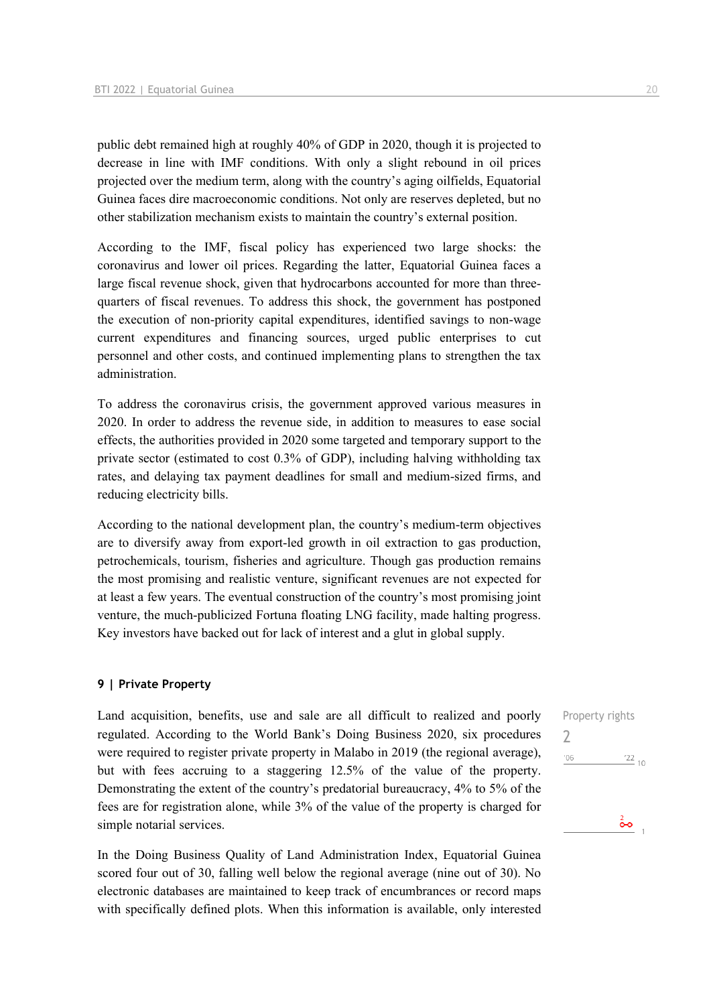public debt remained high at roughly 40% of GDP in 2020, though it is projected to decrease in line with IMF conditions. With only a slight rebound in oil prices projected over the medium term, along with the country's aging oilfields, Equatorial Guinea faces dire macroeconomic conditions. Not only are reserves depleted, but no other stabilization mechanism exists to maintain the country's external position.

According to the IMF, fiscal policy has experienced two large shocks: the coronavirus and lower oil prices. Regarding the latter, Equatorial Guinea faces a large fiscal revenue shock, given that hydrocarbons accounted for more than threequarters of fiscal revenues. To address this shock, the government has postponed the execution of non-priority capital expenditures, identified savings to non-wage current expenditures and financing sources, urged public enterprises to cut personnel and other costs, and continued implementing plans to strengthen the tax administration.

To address the coronavirus crisis, the government approved various measures in 2020. In order to address the revenue side, in addition to measures to ease social effects, the authorities provided in 2020 some targeted and temporary support to the private sector (estimated to cost 0.3% of GDP), including halving withholding tax rates, and delaying tax payment deadlines for small and medium-sized firms, and reducing electricity bills.

According to the national development plan, the country's medium-term objectives are to diversify away from export-led growth in oil extraction to gas production, petrochemicals, tourism, fisheries and agriculture. Though gas production remains the most promising and realistic venture, significant revenues are not expected for at least a few years. The eventual construction of the country's most promising joint venture, the much-publicized Fortuna floating LNG facility, made halting progress. Key investors have backed out for lack of interest and a glut in global supply.

#### **9 | Private Property**

Land acquisition, benefits, use and sale are all difficult to realized and poorly regulated. According to the World Bank's Doing Business 2020, six procedures were required to register private property in Malabo in 2019 (the regional average), but with fees accruing to a staggering 12.5% of the value of the property. Demonstrating the extent of the country's predatorial bureaucracy, 4% to 5% of the fees are for registration alone, while 3% of the value of the property is charged for simple notarial services.

In the Doing Business Quality of Land Administration Index, Equatorial Guinea scored four out of 30, falling well below the regional average (nine out of 30). No electronic databases are maintained to keep track of encumbrances or record maps with specifically defined plots. When this information is available, only interested  $\frac{2}{\bullet}$ 

2

 $'06$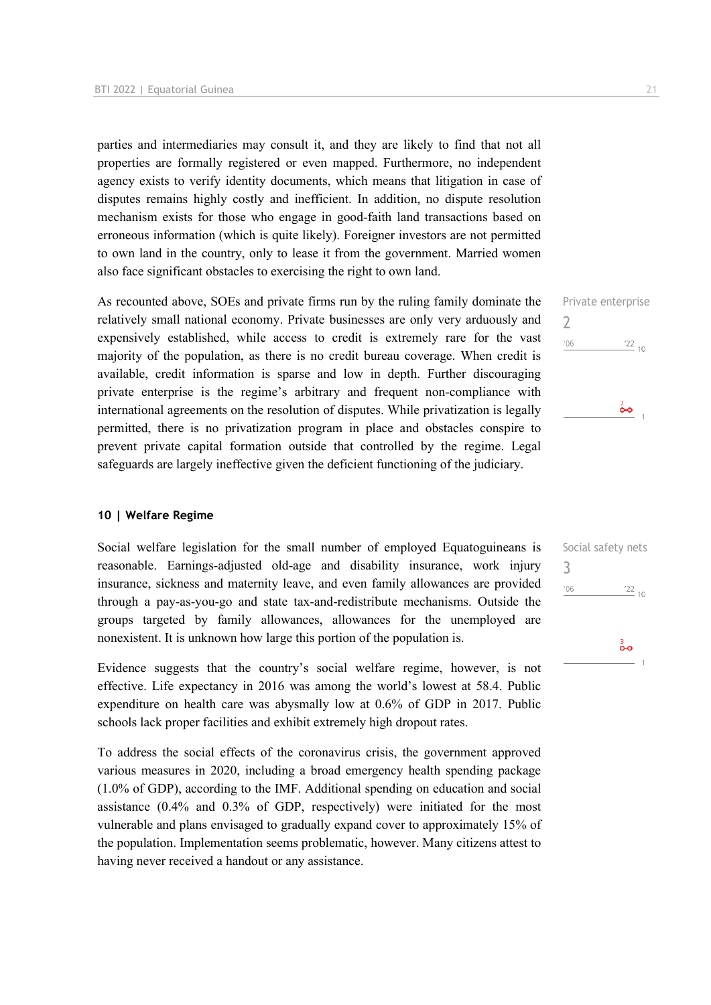parties and intermediaries may consult it, and they are likely to find that not all properties are formally registered or even mapped. Furthermore, no independent agency exists to verify identity documents, which means that litigation in case of disputes remains highly costly and inefficient. In addition, no dispute resolution mechanism exists for those who engage in good-faith land transactions based on erroneous information (which is quite likely). Foreigner investors are not permitted to own land in the country, only to lease it from the government. Married women also face significant obstacles to exercising the right to own land.

As recounted above, SOEs and private firms run by the ruling family dominate the relatively small national economy. Private businesses are only very arduously and expensively established, while access to credit is extremely rare for the vast majority of the population, as there is no credit bureau coverage. When credit is available, credit information is sparse and low in depth. Further discouraging private enterprise is the regime's arbitrary and frequent non-compliance with international agreements on the resolution of disputes. While privatization is legally permitted, there is no privatization program in place and obstacles conspire to prevent private capital formation outside that controlled by the regime. Legal safeguards are largely ineffective given the deficient functioning of the judiciary.

#### **10 | Welfare Regime**

Social welfare legislation for the small number of employed Equatoguineans is reasonable. Earnings-adjusted old-age and disability insurance, work injury insurance, sickness and maternity leave, and even family allowances are provided through a pay-as-you-go and state tax-and-redistribute mechanisms. Outside the groups targeted by family allowances, allowances for the unemployed are nonexistent. It is unknown how large this portion of the population is.

Evidence suggests that the country's social welfare regime, however, is not effective. Life expectancy in 2016 was among the world's lowest at 58.4. Public expenditure on health care was abysmally low at 0.6% of GDP in 2017. Public schools lack proper facilities and exhibit extremely high dropout rates.

To address the social effects of the coronavirus crisis, the government approved various measures in 2020, including a broad emergency health spending package (1.0% of GDP), according to the IMF. Additional spending on education and social assistance (0.4% and 0.3% of GDP, respectively) were initiated for the most vulnerable and plans envisaged to gradually expand cover to approximately 15% of the population. Implementation seems problematic, however. Many citizens attest to having never received a handout or any assistance.



| 3   | pocial sarety ricts |
|-----|---------------------|
| '06 | $\frac{22}{10}$     |
|     | စိတ                 |

Social safety note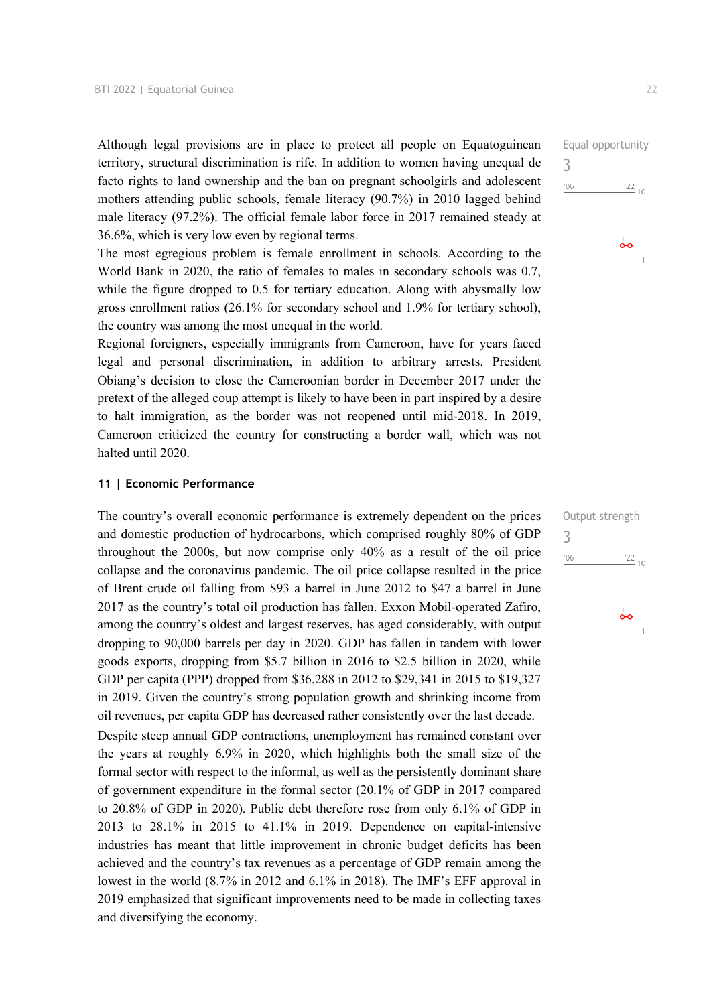Although legal provisions are in place to protect all people on Equatoguinean territory, structural discrimination is rife. In addition to women having unequal de facto rights to land ownership and the ban on pregnant schoolgirls and adolescent mothers attending public schools, female literacy (90.7%) in 2010 lagged behind male literacy (97.2%). The official female labor force in 2017 remained steady at 36.6%, which is very low even by regional terms.

The most egregious problem is female enrollment in schools. According to the World Bank in 2020, the ratio of females to males in secondary schools was 0.7, while the figure dropped to 0.5 for tertiary education. Along with abysmally low gross enrollment ratios (26.1% for secondary school and 1.9% for tertiary school), the country was among the most unequal in the world.

Regional foreigners, especially immigrants from Cameroon, have for years faced legal and personal discrimination, in addition to arbitrary arrests. President Obiang's decision to close the Cameroonian border in December 2017 under the pretext of the alleged coup attempt is likely to have been in part inspired by a desire to halt immigration, as the border was not reopened until mid-2018. In 2019, Cameroon criticized the country for constructing a border wall, which was not halted until 2020.

#### **11 | Economic Performance**

and diversifying the economy.

The country's overall economic performance is extremely dependent on the prices and domestic production of hydrocarbons, which comprised roughly 80% of GDP throughout the 2000s, but now comprise only 40% as a result of the oil price collapse and the coronavirus pandemic. The oil price collapse resulted in the price of Brent crude oil falling from \$93 a barrel in June 2012 to \$47 a barrel in June 2017 as the country's total oil production has fallen. Exxon Mobil-operated Zafiro, among the country's oldest and largest reserves, has aged considerably, with output dropping to 90,000 barrels per day in 2020. GDP has fallen in tandem with lower goods exports, dropping from \$5.7 billion in 2016 to \$2.5 billion in 2020, while GDP per capita (PPP) dropped from \$36,288 in 2012 to \$29,341 in 2015 to \$19,327 in 2019. Given the country's strong population growth and shrinking income from oil revenues, per capita GDP has decreased rather consistently over the last decade. Despite steep annual GDP contractions, unemployment has remained constant over the years at roughly 6.9% in 2020, which highlights both the small size of the formal sector with respect to the informal, as well as the persistently dominant share of government expenditure in the formal sector (20.1% of GDP in 2017 compared to 20.8% of GDP in 2020). Public debt therefore rose from only 6.1% of GDP in 2013 to 28.1% in 2015 to 41.1% in 2019. Dependence on capital-intensive industries has meant that little improvement in chronic budget deficits has been achieved and the country's tax revenues as a percentage of GDP remain among the

lowest in the world (8.7% in 2012 and 6.1% in 2018). The IMF's EFF approval in 2019 emphasized that significant improvements need to be made in collecting taxes Equal opportunity 3  $'06$  $\frac{22}{10}$ 

စိတ

Output strength 3 $'06$  $\frac{22}{10}$ စိတ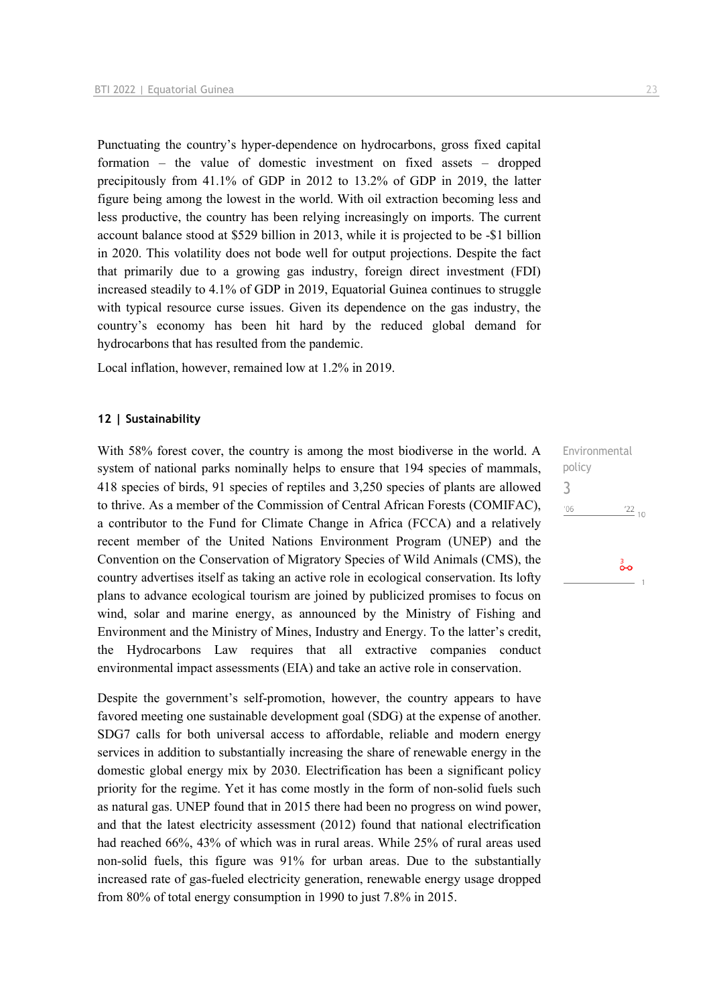Punctuating the country's hyper-dependence on hydrocarbons, gross fixed capital formation – the value of domestic investment on fixed assets – dropped precipitously from 41.1% of GDP in 2012 to 13.2% of GDP in 2019, the latter figure being among the lowest in the world. With oil extraction becoming less and less productive, the country has been relying increasingly on imports. The current account balance stood at \$529 billion in 2013, while it is projected to be -\$1 billion in 2020. This volatility does not bode well for output projections. Despite the fact that primarily due to a growing gas industry, foreign direct investment (FDI) increased steadily to 4.1% of GDP in 2019, Equatorial Guinea continues to struggle with typical resource curse issues. Given its dependence on the gas industry, the country's economy has been hit hard by the reduced global demand for hydrocarbons that has resulted from the pandemic.

Local inflation, however, remained low at 1.2% in 2019.

#### **12 | Sustainability**

With 58% forest cover, the country is among the most biodiverse in the world. A system of national parks nominally helps to ensure that 194 species of mammals, 418 species of birds, 91 species of reptiles and 3,250 species of plants are allowed to thrive. As a member of the Commission of Central African Forests (COMIFAC), a contributor to the Fund for Climate Change in Africa (FCCA) and a relatively recent member of the United Nations Environment Program (UNEP) and the Convention on the Conservation of Migratory Species of Wild Animals (CMS), the country advertises itself as taking an active role in ecological conservation. Its lofty plans to advance ecological tourism are joined by publicized promises to focus on wind, solar and marine energy, as announced by the Ministry of Fishing and Environment and the Ministry of Mines, Industry and Energy. To the latter's credit, the Hydrocarbons Law requires that all extractive companies conduct environmental impact assessments (EIA) and take an active role in conservation.

Despite the government's self-promotion, however, the country appears to have favored meeting one sustainable development goal (SDG) at the expense of another. SDG7 calls for both universal access to affordable, reliable and modern energy services in addition to substantially increasing the share of renewable energy in the domestic global energy mix by 2030. Electrification has been a significant policy priority for the regime. Yet it has come mostly in the form of non-solid fuels such as natural gas. UNEP found that in 2015 there had been no progress on wind power, and that the latest electricity assessment (2012) found that national electrification had reached 66%, 43% of which was in rural areas. While 25% of rural areas used non-solid fuels, this figure was 91% for urban areas. Due to the substantially increased rate of gas-fueled electricity generation, renewable energy usage dropped from 80% of total energy consumption in 1990 to just 7.8% in 2015.

Environmental policy 3 $^{\prime}06$  $\frac{22}{10}$ 

စိတ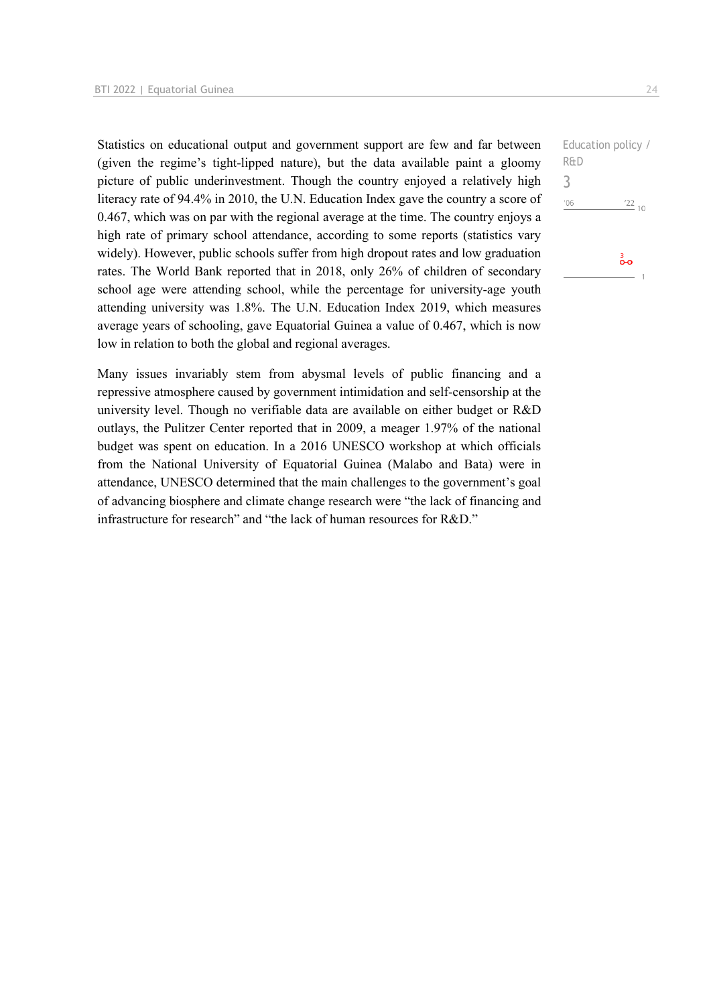Statistics on educational output and government support are few and far between (given the regime's tight-lipped nature), but the data available paint a gloomy picture of public underinvestment. Though the country enjoyed a relatively high literacy rate of 94.4% in 2010, the U.N. Education Index gave the country a score of 0.467, which was on par with the regional average at the time. The country enjoys a high rate of primary school attendance, according to some reports (statistics vary widely). However, public schools suffer from high dropout rates and low graduation rates. The World Bank reported that in 2018, only 26% of children of secondary school age were attending school, while the percentage for university-age youth attending university was 1.8%. The U.N. Education Index 2019, which measures average years of schooling, gave Equatorial Guinea a value of 0.467, which is now low in relation to both the global and regional averages.

Many issues invariably stem from abysmal levels of public financing and a repressive atmosphere caused by government intimidation and self-censorship at the university level. Though no verifiable data are available on either budget or R&D outlays, the Pulitzer Center reported that in 2009, a meager 1.97% of the national budget was spent on education. In a 2016 UNESCO workshop at which officials from the National University of Equatorial Guinea (Malabo and Bata) were in attendance, UNESCO determined that the main challenges to the government's goal of advancing biosphere and climate change research were "the lack of financing and infrastructure for research" and "the lack of human resources for R&D."

```
Education policy / 
R&D
3^{\prime}06\frac{22}{10}စိတ
```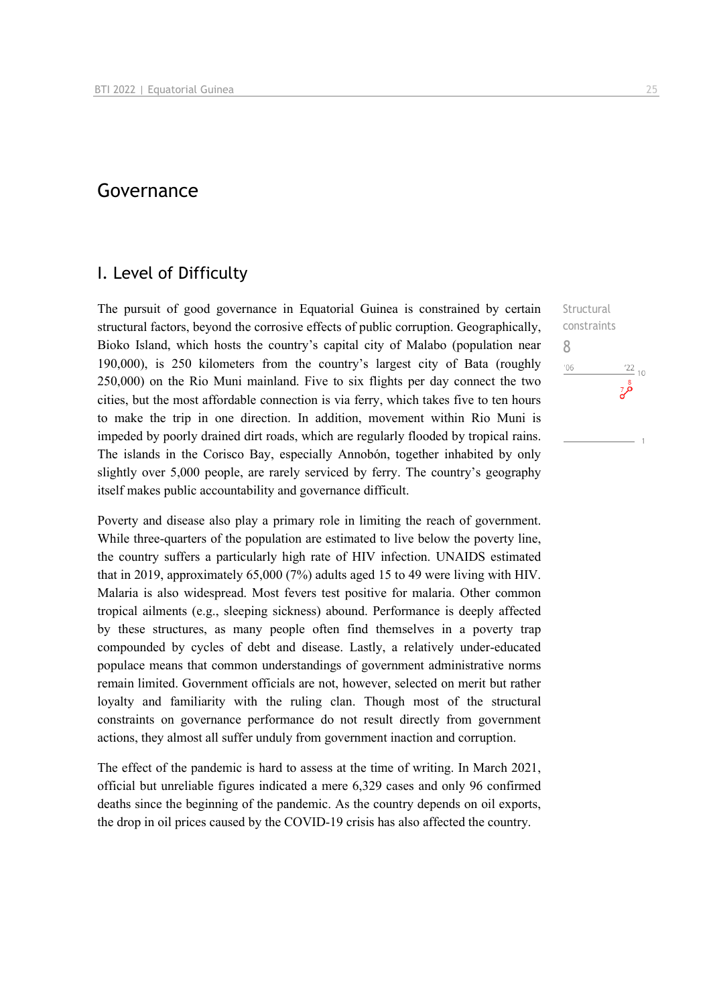# Governance

# I. Level of Difficulty

The pursuit of good governance in Equatorial Guinea is constrained by certain structural factors, beyond the corrosive effects of public corruption. Geographically, Bioko Island, which hosts the country's capital city of Malabo (population near 190,000), is 250 kilometers from the country's largest city of Bata (roughly 250,000) on the Rio Muni mainland. Five to six flights per day connect the two cities, but the most affordable connection is via ferry, which takes five to ten hours to make the trip in one direction. In addition, movement within Rio Muni is impeded by poorly drained dirt roads, which are regularly flooded by tropical rains. The islands in the Corisco Bay, especially Annobón, together inhabited by only slightly over 5,000 people, are rarely serviced by ferry. The country's geography itself makes public accountability and governance difficult.

Poverty and disease also play a primary role in limiting the reach of government. While three-quarters of the population are estimated to live below the poverty line, the country suffers a particularly high rate of HIV infection. UNAIDS estimated that in 2019, approximately 65,000 (7%) adults aged 15 to 49 were living with HIV. Malaria is also widespread. Most fevers test positive for malaria. Other common tropical ailments (e.g., sleeping sickness) abound. Performance is deeply affected by these structures, as many people often find themselves in a poverty trap compounded by cycles of debt and disease. Lastly, a relatively under-educated populace means that common understandings of government administrative norms remain limited. Government officials are not, however, selected on merit but rather loyalty and familiarity with the ruling clan. Though most of the structural constraints on governance performance do not result directly from government actions, they almost all suffer unduly from government inaction and corruption.

The effect of the pandemic is hard to assess at the time of writing. In March 2021, official but unreliable figures indicated a mere 6,329 cases and only 96 confirmed deaths since the beginning of the pandemic. As the country depends on oil exports, the drop in oil prices caused by the COVID-19 crisis has also affected the country.

**Structural** constraints 8 $106$  $\frac{22}{10}$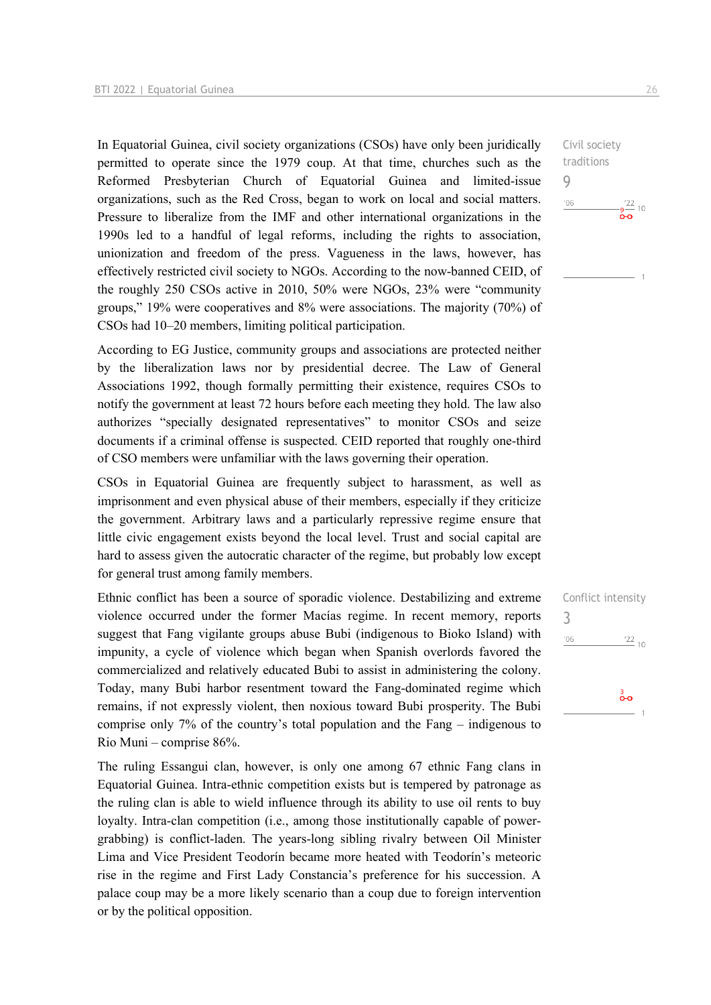In Equatorial Guinea, civil society organizations (CSOs) have only been juridically permitted to operate since the 1979 coup. At that time, churches such as the Reformed Presbyterian Church of Equatorial Guinea and limited-issue organizations, such as the Red Cross, began to work on local and social matters. Pressure to liberalize from the IMF and other international organizations in the 1990s led to a handful of legal reforms, including the rights to association, unionization and freedom of the press. Vagueness in the laws, however, has effectively restricted civil society to NGOs. According to the now-banned CEID, of the roughly 250 CSOs active in 2010, 50% were NGOs, 23% were "community groups," 19% were cooperatives and 8% were associations. The majority (70%) of CSOs had 10–20 members, limiting political participation.

According to EG Justice, community groups and associations are protected neither by the liberalization laws nor by presidential decree. The Law of General Associations 1992, though formally permitting their existence, requires CSOs to notify the government at least 72 hours before each meeting they hold. The law also authorizes "specially designated representatives" to monitor CSOs and seize documents if a criminal offense is suspected. CEID reported that roughly one-third of CSO members were unfamiliar with the laws governing their operation.

CSOs in Equatorial Guinea are frequently subject to harassment, as well as imprisonment and even physical abuse of their members, especially if they criticize the government. Arbitrary laws and a particularly repressive regime ensure that little civic engagement exists beyond the local level. Trust and social capital are hard to assess given the autocratic character of the regime, but probably low except for general trust among family members.

Ethnic conflict has been a source of sporadic violence. Destabilizing and extreme violence occurred under the former Macías regime. In recent memory, reports suggest that Fang vigilante groups abuse Bubi (indigenous to Bioko Island) with impunity, a cycle of violence which began when Spanish overlords favored the commercialized and relatively educated Bubi to assist in administering the colony. Today, many Bubi harbor resentment toward the Fang-dominated regime which remains, if not expressly violent, then noxious toward Bubi prosperity. The Bubi comprise only 7% of the country's total population and the Fang – indigenous to Rio Muni – comprise 86%.

The ruling Essangui clan, however, is only one among 67 ethnic Fang clans in Equatorial Guinea. Intra-ethnic competition exists but is tempered by patronage as the ruling clan is able to wield influence through its ability to use oil rents to buy loyalty. Intra-clan competition (i.e., among those institutionally capable of powergrabbing) is conflict-laden. The years-long sibling rivalry between Oil Minister Lima and Vice President Teodorín became more heated with Teodorín's meteoric rise in the regime and First Lady Constancia's preference for his succession. A palace coup may be a more likely scenario than a coup due to foreign intervention or by the political opposition.

Civil society traditions 9  $106$  $\frac{1}{2}$   $\frac{1}{2}$  10

Conflict intensity 3 $^{\prime}06$  $\frac{22}{10}$  $\frac{3}{2}$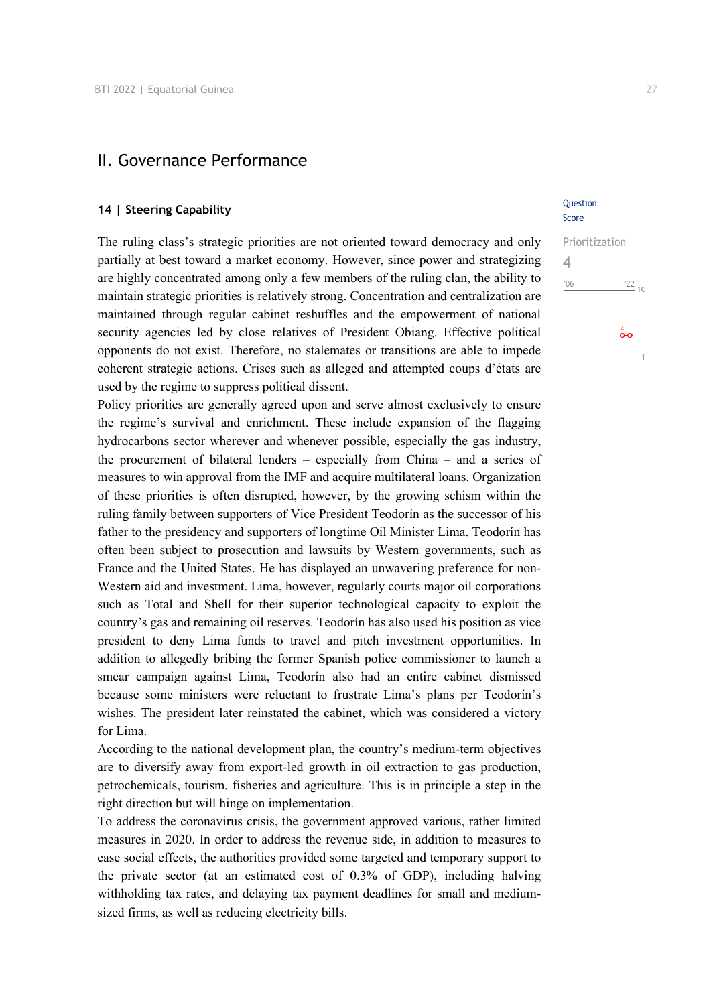### II. Governance Performance

# **14 | Steering Capability Question**

The ruling class's strategic priorities are not oriented toward democracy and only partially at best toward a market economy. However, since power and strategizing are highly concentrated among only a few members of the ruling clan, the ability to maintain strategic priorities is relatively strong. Concentration and centralization are maintained through regular cabinet reshuffles and the empowerment of national security agencies led by close relatives of President Obiang. Effective political opponents do not exist. Therefore, no stalemates or transitions are able to impede coherent strategic actions. Crises such as alleged and attempted coups d'états are used by the regime to suppress political dissent.

Policy priorities are generally agreed upon and serve almost exclusively to ensure the regime's survival and enrichment. These include expansion of the flagging hydrocarbons sector wherever and whenever possible, especially the gas industry, the procurement of bilateral lenders – especially from China – and a series of measures to win approval from the IMF and acquire multilateral loans. Organization of these priorities is often disrupted, however, by the growing schism within the ruling family between supporters of Vice President Teodorín as the successor of his father to the presidency and supporters of longtime Oil Minister Lima. Teodorín has often been subject to prosecution and lawsuits by Western governments, such as France and the United States. He has displayed an unwavering preference for non-Western aid and investment. Lima, however, regularly courts major oil corporations such as Total and Shell for their superior technological capacity to exploit the country's gas and remaining oil reserves. Teodorín has also used his position as vice president to deny Lima funds to travel and pitch investment opportunities. In addition to allegedly bribing the former Spanish police commissioner to launch a smear campaign against Lima, Teodorín also had an entire cabinet dismissed because some ministers were reluctant to frustrate Lima's plans per Teodorín's wishes. The president later reinstated the cabinet, which was considered a victory for Lima.

According to the national development plan, the country's medium-term objectives are to diversify away from export-led growth in oil extraction to gas production, petrochemicals, tourism, fisheries and agriculture. This is in principle a step in the right direction but will hinge on implementation.

To address the coronavirus crisis, the government approved various, rather limited measures in 2020. In order to address the revenue side, in addition to measures to ease social effects, the authorities provided some targeted and temporary support to the private sector (at an estimated cost of 0.3% of GDP), including halving withholding tax rates, and delaying tax payment deadlines for small and mediumsized firms, as well as reducing electricity bills.

# Score

| Prioritization |                          |
|----------------|--------------------------|
| '06            | $\frac{122}{10}$         |
|                | $\overset{4}{\bullet}$ o |
|                |                          |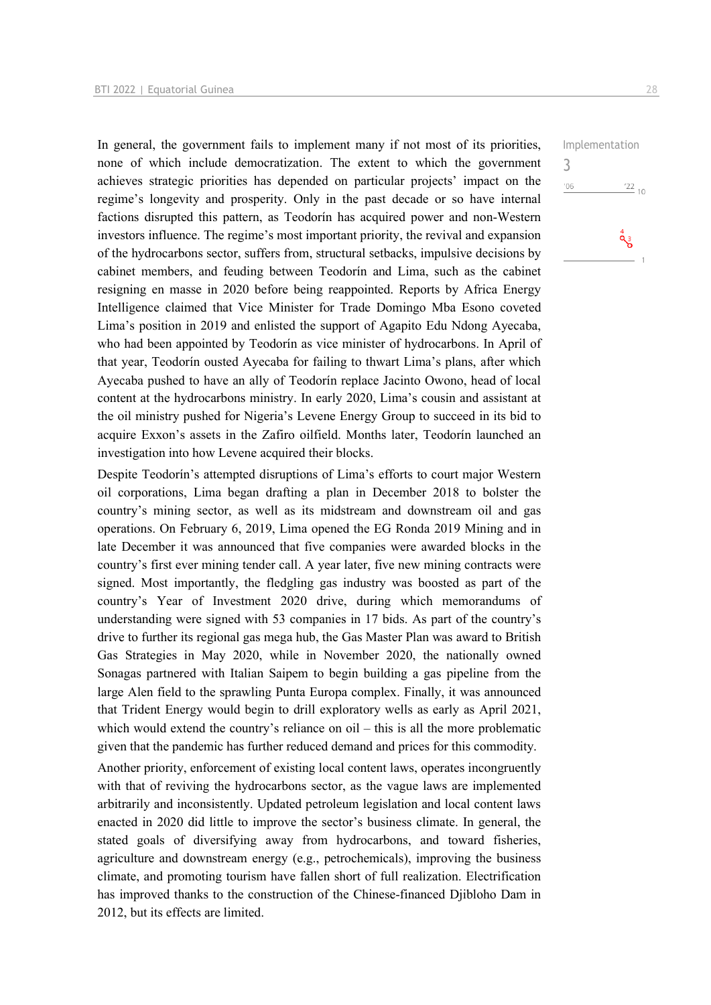In general, the government fails to implement many if not most of its priorities, none of which include democratization. The extent to which the government achieves strategic priorities has depended on particular projects' impact on the regime's longevity and prosperity. Only in the past decade or so have internal factions disrupted this pattern, as Teodorín has acquired power and non-Western investors influence. The regime's most important priority, the revival and expansion of the hydrocarbons sector, suffers from, structural setbacks, impulsive decisions by cabinet members, and feuding between Teodorín and Lima, such as the cabinet resigning en masse in 2020 before being reappointed. Reports by Africa Energy Intelligence claimed that Vice Minister for Trade Domingo Mba Esono coveted Lima's position in 2019 and enlisted the support of Agapito Edu Ndong Ayecaba, who had been appointed by Teodorín as vice minister of hydrocarbons. In April of that year, Teodorín ousted Ayecaba for failing to thwart Lima's plans, after which Ayecaba pushed to have an ally of Teodorín replace Jacinto Owono, head of local content at the hydrocarbons ministry. In early 2020, Lima's cousin and assistant at the oil ministry pushed for Nigeria's Levene Energy Group to succeed in its bid to acquire Exxon's assets in the Zafiro oilfield. Months later, Teodorín launched an investigation into how Levene acquired their blocks.

Despite Teodorín's attempted disruptions of Lima's efforts to court major Western oil corporations, Lima began drafting a plan in December 2018 to bolster the country's mining sector, as well as its midstream and downstream oil and gas operations. On February 6, 2019, Lima opened the EG Ronda 2019 Mining and in late December it was announced that five companies were awarded blocks in the country's first ever mining tender call. A year later, five new mining contracts were signed. Most importantly, the fledgling gas industry was boosted as part of the country's Year of Investment 2020 drive, during which memorandums of understanding were signed with 53 companies in 17 bids. As part of the country's drive to further its regional gas mega hub, the Gas Master Plan was award to British Gas Strategies in May 2020, while in November 2020, the nationally owned Sonagas partnered with Italian Saipem to begin building a gas pipeline from the large Alen field to the sprawling Punta Europa complex. Finally, it was announced that Trident Energy would begin to drill exploratory wells as early as April 2021, which would extend the country's reliance on oil – this is all the more problematic given that the pandemic has further reduced demand and prices for this commodity.

Another priority, enforcement of existing local content laws, operates incongruently with that of reviving the hydrocarbons sector, as the vague laws are implemented arbitrarily and inconsistently. Updated petroleum legislation and local content laws enacted in 2020 did little to improve the sector's business climate. In general, the stated goals of diversifying away from hydrocarbons, and toward fisheries, agriculture and downstream energy (e.g., petrochemicals), improving the business climate, and promoting tourism have fallen short of full realization. Electrification has improved thanks to the construction of the Chinese-financed Djibloho Dam in 2012, but its effects are limited.

Implementation 3 $\frac{22}{10}$  $'06$  $\overset{4}{\mathbf{Q}}$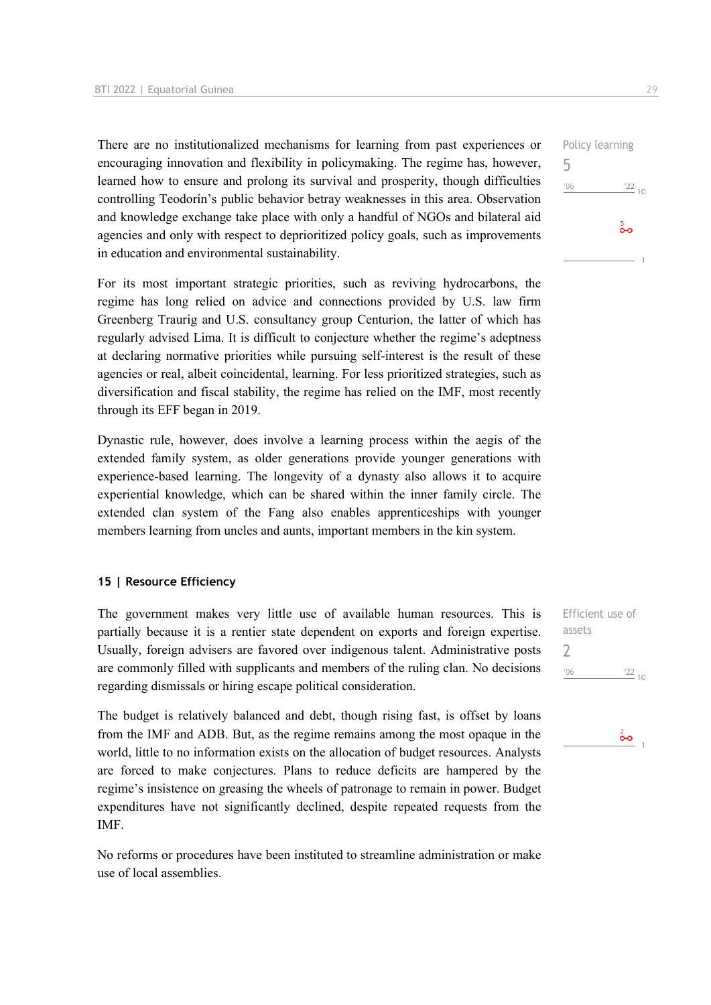There are no institutionalized mechanisms for learning from past experiences or encouraging innovation and flexibility in policymaking. The regime has, however, learned how to ensure and prolong its survival and prosperity, though difficulties controlling Teodorín's public behavior betray weaknesses in this area. Observation and knowledge exchange take place with only a handful of NGOs and bilateral aid agencies and only with respect to deprioritized policy goals, such as improvements in education and environmental sustainability.

For its most important strategic priorities, such as reviving hydrocarbons, the regime has long relied on advice and connections provided by U.S. law firm Greenberg Traurig and U.S. consultancy group Centurion, the latter of which has regularly advised Lima. It is difficult to conjecture whether the regime's adeptness at declaring normative priorities while pursuing self-interest is the result of these agencies or real, albeit coincidental, learning. For less prioritized strategies, such as diversification and fiscal stability, the regime has relied on the IMF, most recently through its EFF began in 2019.

Dynastic rule, however, does involve a learning process within the aegis of the extended family system, as older generations provide younger generations with experience-based learning. The longevity of a dynasty also allows it to acquire experiential knowledge, which can be shared within the inner family circle. The extended clan system of the Fang also enables apprenticeships with younger members learning from uncles and aunts, important members in the kin system.

#### **15 | Resource Efficiency**

The government makes very little use of available human resources. This is partially because it is a rentier state dependent on exports and foreign expertise. Usually, foreign advisers are favored over indigenous talent. Administrative posts are commonly filled with supplicants and members of the ruling clan. No decisions regarding dismissals or hiring escape political consideration.

The budget is relatively balanced and debt, though rising fast, is offset by loans from the IMF and ADB. But, as the regime remains among the most opaque in the world, little to no information exists on the allocation of budget resources. Analysts are forced to make conjectures. Plans to reduce deficits are hampered by the regime's insistence on greasing the wheels of patronage to remain in power. Budget expenditures have not significantly declined, despite repeated requests from the IMF.

No reforms or procedures have been instituted to streamline administration or make use of local assemblies.

Efficient use of assets 2 $^{\prime}06$  $\frac{22}{10}$ 



Policy learning 5  $'06$  $\frac{22}{10}$  $\frac{5}{2}$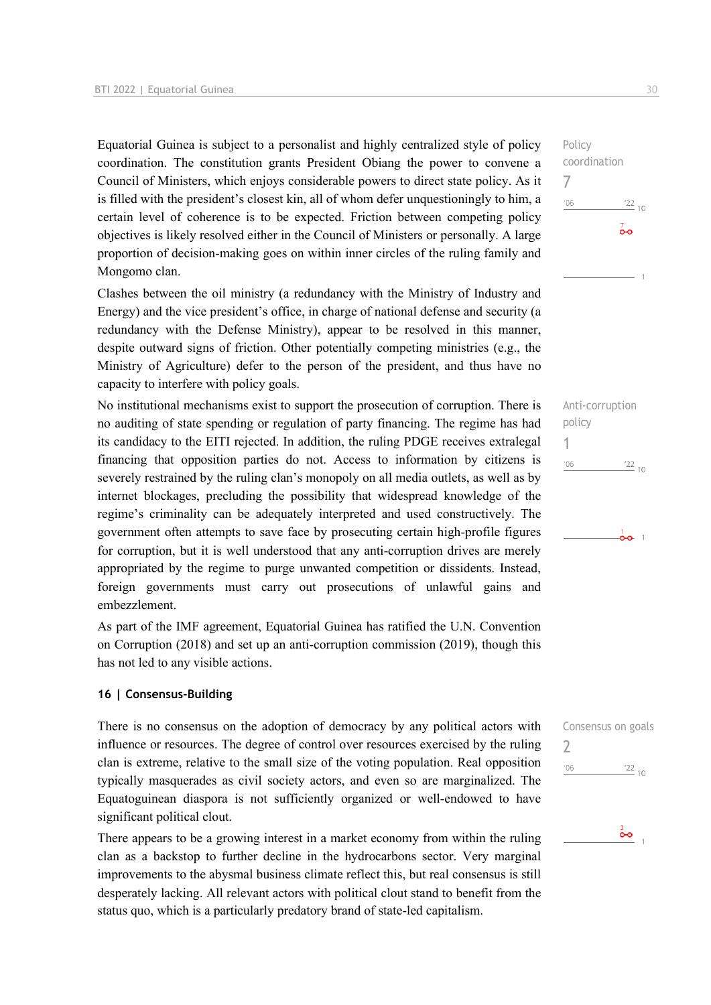Equatorial Guinea is subject to a personalist and highly centralized style of policy coordination. The constitution grants President Obiang the power to convene a Council of Ministers, which enjoys considerable powers to direct state policy. As it is filled with the president's closest kin, all of whom defer unquestioningly to him, a certain level of coherence is to be expected. Friction between competing policy objectives is likely resolved either in the Council of Ministers or personally. A large proportion of decision-making goes on within inner circles of the ruling family and Mongomo clan.

Clashes between the oil ministry (a redundancy with the Ministry of Industry and Energy) and the vice president's office, in charge of national defense and security (a redundancy with the Defense Ministry), appear to be resolved in this manner, despite outward signs of friction. Other potentially competing ministries (e.g., the Ministry of Agriculture) defer to the person of the president, and thus have no capacity to interfere with policy goals.

No institutional mechanisms exist to support the prosecution of corruption. There is no auditing of state spending or regulation of party financing. The regime has had its candidacy to the EITI rejected. In addition, the ruling PDGE receives extralegal financing that opposition parties do not. Access to information by citizens is severely restrained by the ruling clan's monopoly on all media outlets, as well as by internet blockages, precluding the possibility that widespread knowledge of the regime's criminality can be adequately interpreted and used constructively. The government often attempts to save face by prosecuting certain high-profile figures for corruption, but it is well understood that any anti-corruption drives are merely appropriated by the regime to purge unwanted competition or dissidents. Instead, foreign governments must carry out prosecutions of unlawful gains and embezzlement.

As part of the IMF agreement, Equatorial Guinea has ratified the U.N. Convention on Corruption (2018) and set up an anti-corruption commission (2019), though this has not led to any visible actions.

#### **16 | Consensus-Building**

There is no consensus on the adoption of democracy by any political actors with influence or resources. The degree of control over resources exercised by the ruling clan is extreme, relative to the small size of the voting population. Real opposition typically masquerades as civil society actors, and even so are marginalized. The Equatoguinean diaspora is not sufficiently organized or well-endowed to have significant political clout.

There appears to be a growing interest in a market economy from within the ruling clan as a backstop to further decline in the hydrocarbons sector. Very marginal improvements to the abysmal business climate reflect this, but real consensus is still desperately lacking. All relevant actors with political clout stand to benefit from the status quo, which is a particularly predatory brand of state-led capitalism.

Policy coordination 7  $^{\prime}06$  $\frac{22}{10}$ စ်စ

Anti-corruption policy 1  $^{\prime}06$  $\frac{22}{10}$ 

 $\frac{1}{00}$  1

| '06 | $\frac{22}{10}$    |
|-----|--------------------|
|     |                    |
|     | Consensus on goals |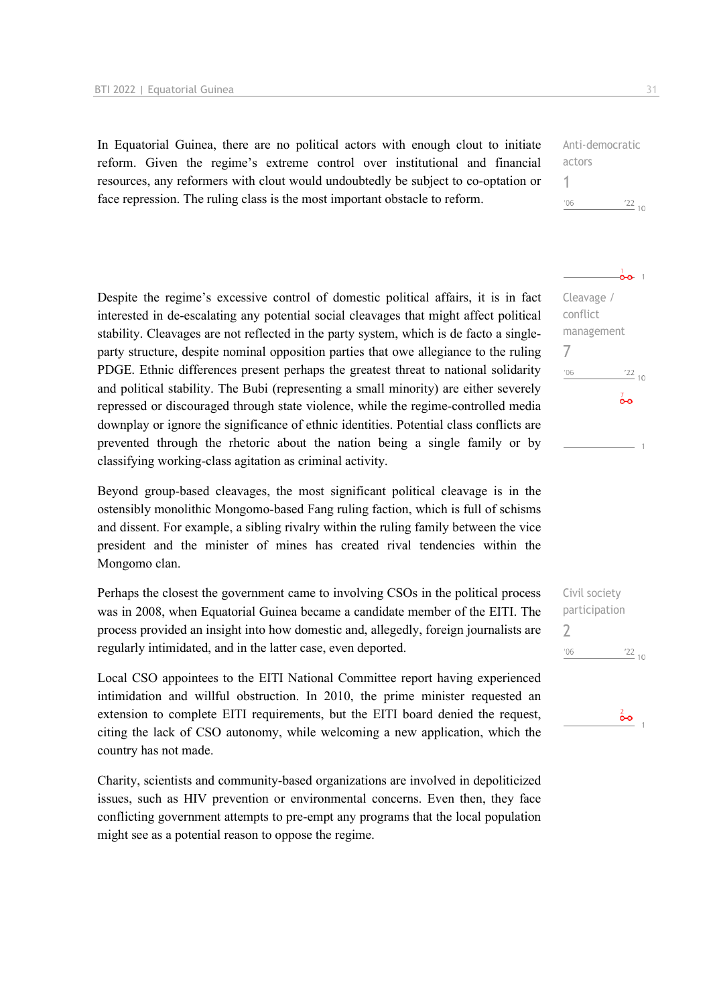In Equatorial Guinea, there are no political actors with enough clout to initiate reform. Given the regime's extreme control over institutional and financial resources, any reformers with clout would undoubtedly be subject to co-optation or face repression. The ruling class is the most important obstacle to reform.

Anti-democratic actors 1  $106$  $122_{10}$ 

Cleavage / conflict management

 $\frac{1}{2}$ 

 $122_{10}$ 

 $\overline{0}$ 

7

 $'06$ 

Despite the regime's excessive control of domestic political affairs, it is in fact interested in de-escalating any potential social cleavages that might affect political stability. Cleavages are not reflected in the party system, which is de facto a singleparty structure, despite nominal opposition parties that owe allegiance to the ruling PDGE. Ethnic differences present perhaps the greatest threat to national solidarity and political stability. The Bubi (representing a small minority) are either severely repressed or discouraged through state violence, while the regime-controlled media downplay or ignore the significance of ethnic identities. Potential class conflicts are prevented through the rhetoric about the nation being a single family or by classifying working-class agitation as criminal activity.

Beyond group-based cleavages, the most significant political cleavage is in the ostensibly monolithic Mongomo-based Fang ruling faction, which is full of schisms and dissent. For example, a sibling rivalry within the ruling family between the vice president and the minister of mines has created rival tendencies within the Mongomo clan.

Perhaps the closest the government came to involving CSOs in the political process was in 2008, when Equatorial Guinea became a candidate member of the EITI. The process provided an insight into how domestic and, allegedly, foreign journalists are regularly intimidated, and in the latter case, even deported.

Local CSO appointees to the EITI National Committee report having experienced intimidation and willful obstruction. In 2010, the prime minister requested an extension to complete EITI requirements, but the EITI board denied the request, citing the lack of CSO autonomy, while welcoming a new application, which the country has not made.

Charity, scientists and community-based organizations are involved in depoliticized issues, such as HIV prevention or environmental concerns. Even then, they face conflicting government attempts to pre-empt any programs that the local population might see as a potential reason to oppose the regime.

Civil society participation  $\overline{\phantom{0}}$  $'06$  $\frac{22}{10}$ 

စိစ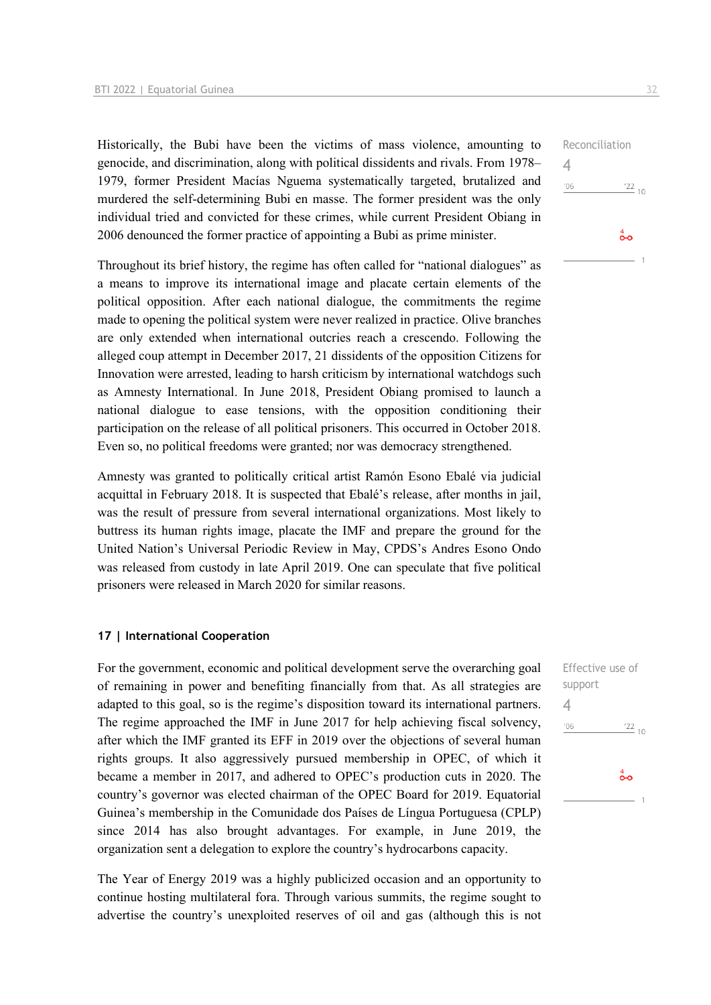Historically, the Bubi have been the victims of mass violence, amounting to genocide, and discrimination, along with political dissidents and rivals. From 1978– 1979, former President Macías Nguema systematically targeted, brutalized and murdered the self-determining Bubi en masse. The former president was the only individual tried and convicted for these crimes, while current President Obiang in 2006 denounced the former practice of appointing a Bubi as prime minister.

Throughout its brief history, the regime has often called for "national dialogues" as a means to improve its international image and placate certain elements of the political opposition. After each national dialogue, the commitments the regime made to opening the political system were never realized in practice. Olive branches are only extended when international outcries reach a crescendo. Following the alleged coup attempt in December 2017, 21 dissidents of the opposition Citizens for Innovation were arrested, leading to harsh criticism by international watchdogs such as Amnesty International. In June 2018, President Obiang promised to launch a national dialogue to ease tensions, with the opposition conditioning their participation on the release of all political prisoners. This occurred in October 2018. Even so, no political freedoms were granted; nor was democracy strengthened.

Amnesty was granted to politically critical artist Ramón Esono Ebalé via judicial acquittal in February 2018. It is suspected that Ebalé's release, after months in jail, was the result of pressure from several international organizations. Most likely to buttress its human rights image, placate the IMF and prepare the ground for the United Nation's Universal Periodic Review in May, CPDS's Andres Esono Ondo was released from custody in late April 2019. One can speculate that five political prisoners were released in March 2020 for similar reasons.

#### **17 | International Cooperation**

For the government, economic and political development serve the overarching goal of remaining in power and benefiting financially from that. As all strategies are adapted to this goal, so is the regime's disposition toward its international partners. The regime approached the IMF in June 2017 for help achieving fiscal solvency, after which the IMF granted its EFF in 2019 over the objections of several human rights groups. It also aggressively pursued membership in OPEC, of which it became a member in 2017, and adhered to OPEC's production cuts in 2020. The country's governor was elected chairman of the OPEC Board for 2019. Equatorial Guinea's membership in the Comunidade dos Países de Língua Portuguesa (CPLP) since 2014 has also brought advantages. For example, in June 2019, the organization sent a delegation to explore the country's hydrocarbons capacity.

The Year of Energy 2019 was a highly publicized occasion and an opportunity to continue hosting multilateral fora. Through various summits, the regime sought to advertise the country's unexploited reserves of oil and gas (although this is not

| Reconciliation |                          |
|----------------|--------------------------|
|                |                          |
| '06            | $\frac{22}{10}$          |
|                |                          |
|                | $\overset{4}{\bullet}$ o |
|                | $\overline{a}$           |

Effective use of support 4 $'06$  $\frac{22}{10}$  $\overset{4}{\bullet}$ o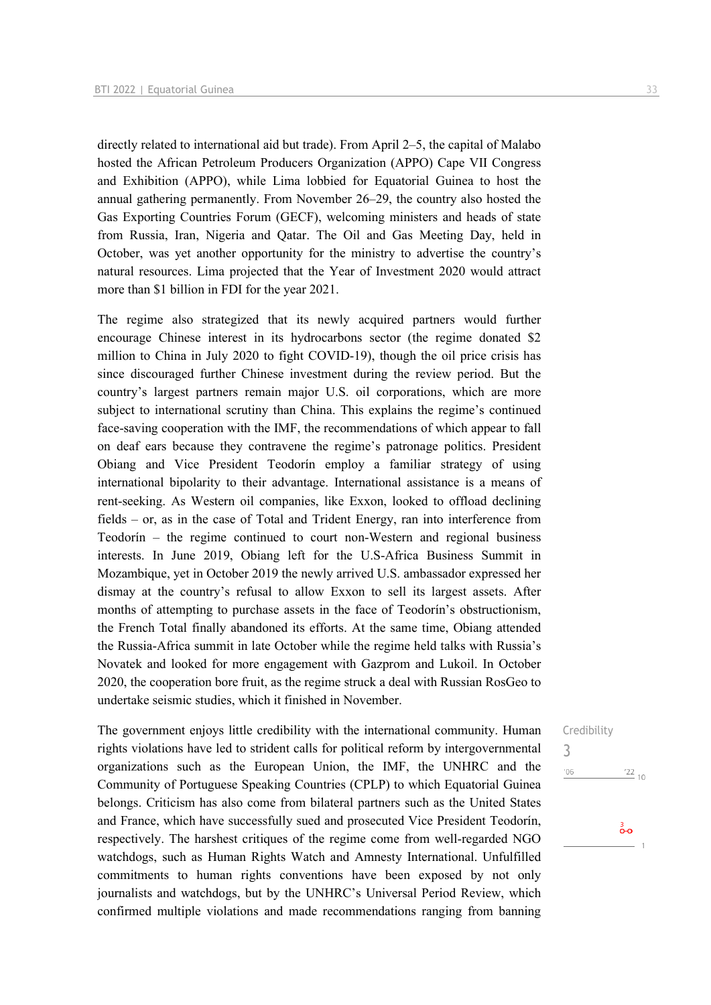directly related to international aid but trade). From April 2–5, the capital of Malabo hosted the African Petroleum Producers Organization (APPO) Cape VII Congress and Exhibition (APPO), while Lima lobbied for Equatorial Guinea to host the annual gathering permanently. From November 26–29, the country also hosted the Gas Exporting Countries Forum (GECF), welcoming ministers and heads of state from Russia, Iran, Nigeria and Qatar. The Oil and Gas Meeting Day, held in October, was yet another opportunity for the ministry to advertise the country's natural resources. Lima projected that the Year of Investment 2020 would attract more than \$1 billion in FDI for the year 2021.

The regime also strategized that its newly acquired partners would further encourage Chinese interest in its hydrocarbons sector (the regime donated \$2 million to China in July 2020 to fight COVID-19), though the oil price crisis has since discouraged further Chinese investment during the review period. But the country's largest partners remain major U.S. oil corporations, which are more subject to international scrutiny than China. This explains the regime's continued face-saving cooperation with the IMF, the recommendations of which appear to fall on deaf ears because they contravene the regime's patronage politics. President Obiang and Vice President Teodorín employ a familiar strategy of using international bipolarity to their advantage. International assistance is a means of rent-seeking. As Western oil companies, like Exxon, looked to offload declining fields – or, as in the case of Total and Trident Energy, ran into interference from Teodorín – the regime continued to court non-Western and regional business interests. In June 2019, Obiang left for the U.S-Africa Business Summit in Mozambique, yet in October 2019 the newly arrived U.S. ambassador expressed her dismay at the country's refusal to allow Exxon to sell its largest assets. After months of attempting to purchase assets in the face of Teodorín's obstructionism, the French Total finally abandoned its efforts. At the same time, Obiang attended the Russia-Africa summit in late October while the regime held talks with Russia's Novatek and looked for more engagement with Gazprom and Lukoil. In October 2020, the cooperation bore fruit, as the regime struck a deal with Russian RosGeo to undertake seismic studies, which it finished in November.

The government enjoys little credibility with the international community. Human rights violations have led to strident calls for political reform by intergovernmental organizations such as the European Union, the IMF, the UNHRC and the Community of Portuguese Speaking Countries (CPLP) to which Equatorial Guinea belongs. Criticism has also come from bilateral partners such as the United States and France, which have successfully sued and prosecuted Vice President Teodorín, respectively. The harshest critiques of the regime come from well-regarded NGO watchdogs, such as Human Rights Watch and Amnesty International. Unfulfilled commitments to human rights conventions have been exposed by not only journalists and watchdogs, but by the UNHRC's Universal Period Review, which confirmed multiple violations and made recommendations ranging from banning

#### Credibility 3

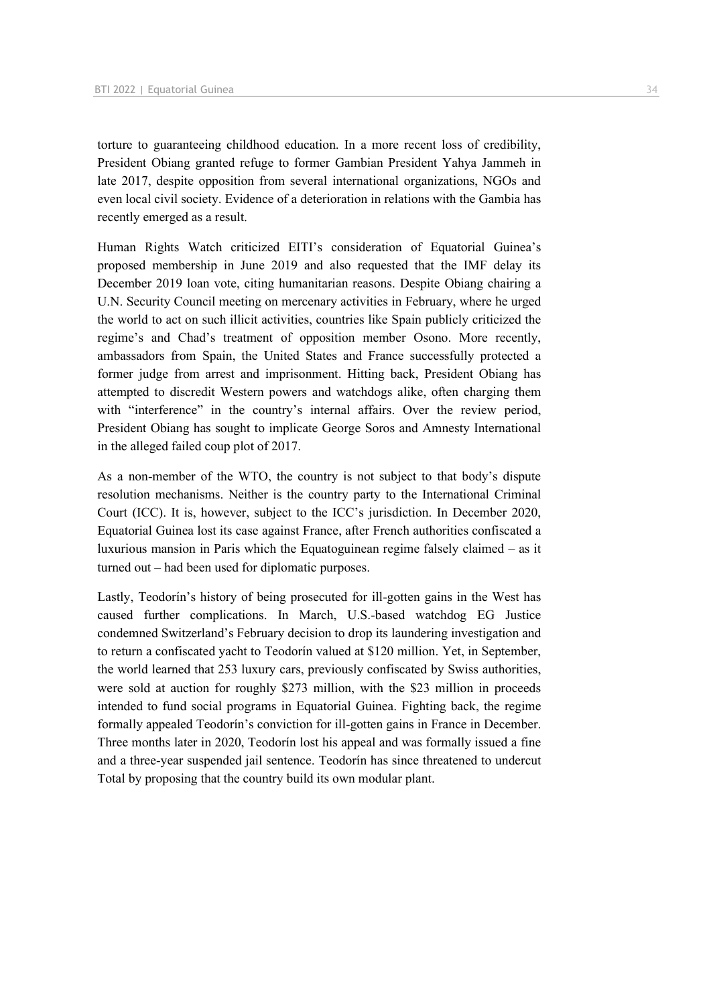torture to guaranteeing childhood education. In a more recent loss of credibility, President Obiang granted refuge to former Gambian President Yahya Jammeh in late 2017, despite opposition from several international organizations, NGOs and even local civil society. Evidence of a deterioration in relations with the Gambia has recently emerged as a result.

Human Rights Watch criticized EITI's consideration of Equatorial Guinea's proposed membership in June 2019 and also requested that the IMF delay its December 2019 loan vote, citing humanitarian reasons. Despite Obiang chairing a U.N. Security Council meeting on mercenary activities in February, where he urged the world to act on such illicit activities, countries like Spain publicly criticized the regime's and Chad's treatment of opposition member Osono. More recently, ambassadors from Spain, the United States and France successfully protected a former judge from arrest and imprisonment. Hitting back, President Obiang has attempted to discredit Western powers and watchdogs alike, often charging them with "interference" in the country's internal affairs. Over the review period, President Obiang has sought to implicate George Soros and Amnesty International in the alleged failed coup plot of 2017.

As a non-member of the WTO, the country is not subject to that body's dispute resolution mechanisms. Neither is the country party to the International Criminal Court (ICC). It is, however, subject to the ICC's jurisdiction. In December 2020, Equatorial Guinea lost its case against France, after French authorities confiscated a luxurious mansion in Paris which the Equatoguinean regime falsely claimed – as it turned out – had been used for diplomatic purposes.

Lastly, Teodorín's history of being prosecuted for ill-gotten gains in the West has caused further complications. In March, U.S.-based watchdog EG Justice condemned Switzerland's February decision to drop its laundering investigation and to return a confiscated yacht to Teodorín valued at \$120 million. Yet, in September, the world learned that 253 luxury cars, previously confiscated by Swiss authorities, were sold at auction for roughly \$273 million, with the \$23 million in proceeds intended to fund social programs in Equatorial Guinea. Fighting back, the regime formally appealed Teodorín's conviction for ill-gotten gains in France in December. Three months later in 2020, Teodorín lost his appeal and was formally issued a fine and a three-year suspended jail sentence. Teodorín has since threatened to undercut Total by proposing that the country build its own modular plant.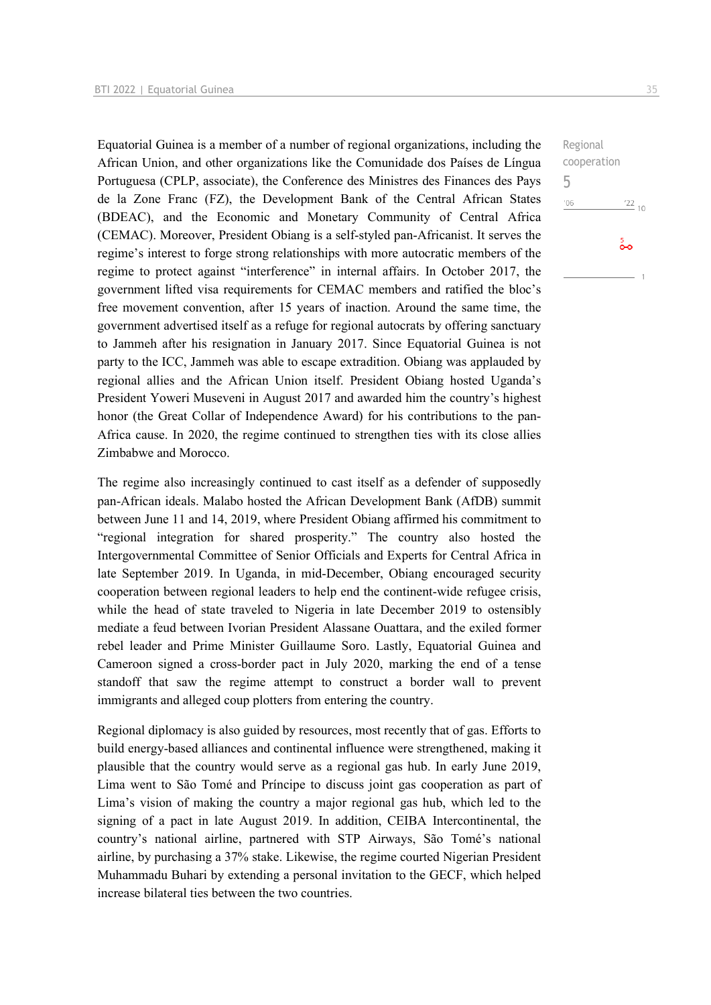Equatorial Guinea is a member of a number of regional organizations, including the African Union, and other organizations like the Comunidade dos Países de Língua Portuguesa (CPLP, associate), the Conference des Ministres des Finances des Pays de la Zone Franc (FZ), the Development Bank of the Central African States (BDEAC), and the Economic and Monetary Community of Central Africa (CEMAC). Moreover, President Obiang is a self-styled pan-Africanist. It serves the regime's interest to forge strong relationships with more autocratic members of the regime to protect against "interference" in internal affairs. In October 2017, the government lifted visa requirements for CEMAC members and ratified the bloc's free movement convention, after 15 years of inaction. Around the same time, the government advertised itself as a refuge for regional autocrats by offering sanctuary to Jammeh after his resignation in January 2017. Since Equatorial Guinea is not party to the ICC, Jammeh was able to escape extradition. Obiang was applauded by regional allies and the African Union itself. President Obiang hosted Uganda's President Yoweri Museveni in August 2017 and awarded him the country's highest honor (the Great Collar of Independence Award) for his contributions to the pan-Africa cause. In 2020, the regime continued to strengthen ties with its close allies Zimbabwe and Morocco.

The regime also increasingly continued to cast itself as a defender of supposedly pan-African ideals. Malabo hosted the African Development Bank (AfDB) summit between June 11 and 14, 2019, where President Obiang affirmed his commitment to "regional integration for shared prosperity." The country also hosted the Intergovernmental Committee of Senior Officials and Experts for Central Africa in late September 2019. In Uganda, in mid-December, Obiang encouraged security cooperation between regional leaders to help end the continent-wide refugee crisis, while the head of state traveled to Nigeria in late December 2019 to ostensibly mediate a feud between Ivorian President Alassane Ouattara, and the exiled former rebel leader and Prime Minister Guillaume Soro. Lastly, Equatorial Guinea and Cameroon signed a cross-border pact in July 2020, marking the end of a tense standoff that saw the regime attempt to construct a border wall to prevent immigrants and alleged coup plotters from entering the country.

Regional diplomacy is also guided by resources, most recently that of gas. Efforts to build energy-based alliances and continental influence were strengthened, making it plausible that the country would serve as a regional gas hub. In early June 2019, Lima went to São Tomé and Príncipe to discuss joint gas cooperation as part of Lima's vision of making the country a major regional gas hub, which led to the signing of a pact in late August 2019. In addition, CEIBA Intercontinental, the country's national airline, partnered with STP Airways, São Tomé's national airline, by purchasing a 37% stake. Likewise, the regime courted Nigerian President Muhammadu Buhari by extending a personal invitation to the GECF, which helped increase bilateral ties between the two countries.

 $^{22}$  10

 $\frac{5}{20}$ 

Regional cooperation

5 $^{\prime}06$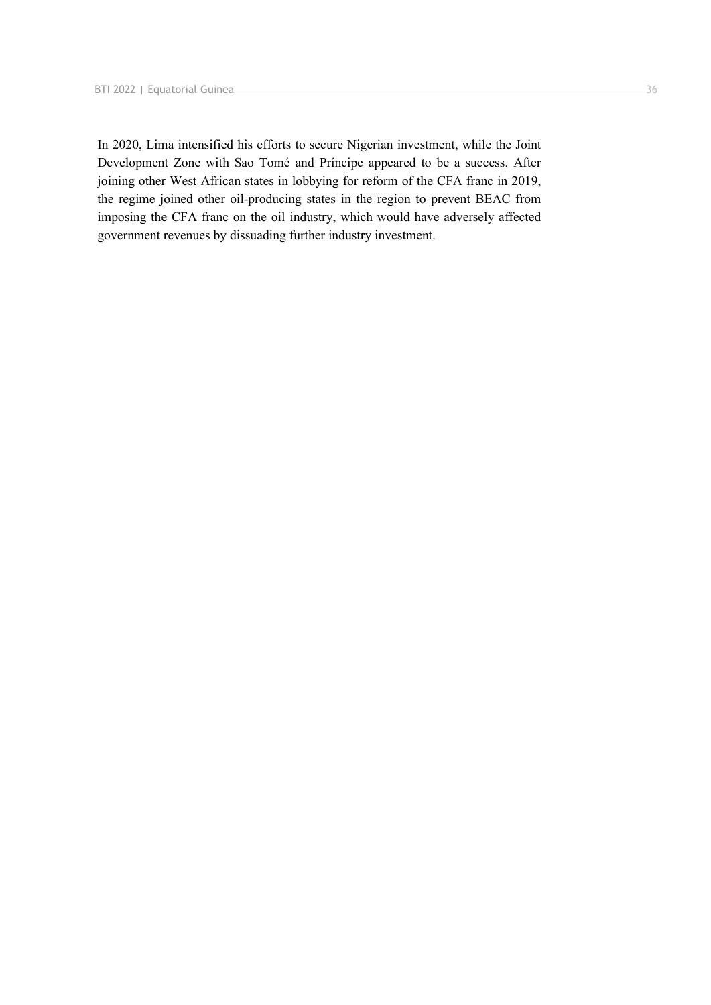In 2020, Lima intensified his efforts to secure Nigerian investment, while the Joint Development Zone with Sao Tomé and Príncipe appeared to be a success. After joining other West African states in lobbying for reform of the CFA franc in 2019, the regime joined other oil-producing states in the region to prevent BEAC from imposing the CFA franc on the oil industry, which would have adversely affected government revenues by dissuading further industry investment.